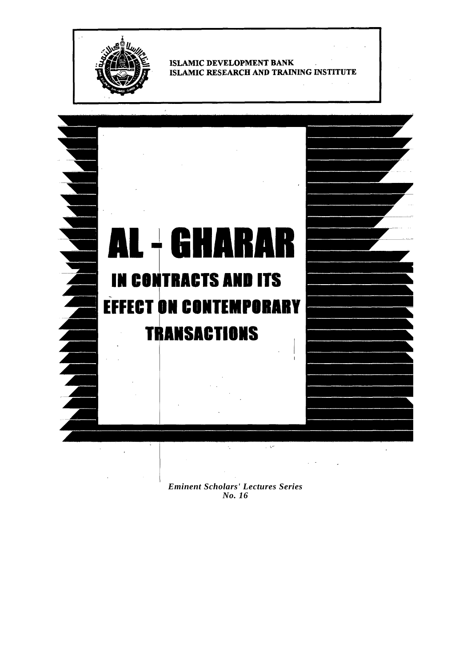

**ISLAMIC DEVELOPMENT BANK** ISLAMIC RESEARCH AND TRAINING INSTITUTE



*Eminent Scholars' Lectures Series No. 16*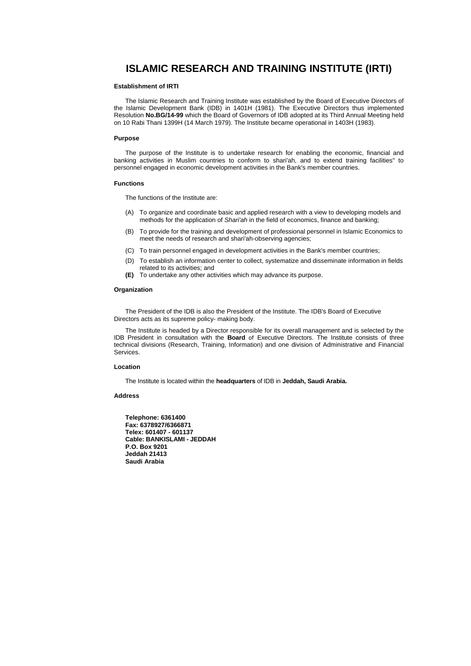#### **ISLAMIC RESEARCH AND TRAINING INSTITUTE (IRTI)**

#### **Establishment of IRTI**

The Islamic Research and Training Institute was established by the Board of Executive Directors of the Islamic Development Bank (IDB) in 1401H (1981). The Executive Directors thus implemented Resolution **No.BG/14-99** which the Board of Governors of IDB adopted at its Third Annual Meeting held on 10 Rabi Thani 1399H (14 March 1979). The Institute became operational in 1403H (1983).

#### **Purpose**

The purpose of the Institute is to undertake research for enabling the economic, financial and banking activities in Muslim countries to conform to shari'ah, and to extend training facilities" to personnel engaged in economic development activities in the Bank's member countries.

#### **Functions**

The functions of the Institute are:

- (A) To organize and coordinate basic and applied research with a view to developing models and methods for the application of *Shari'ah* in the field of economics, finance and banking;
- (B) To provide for the training and development of professional personnel in Islamic Economics to meet the needs of research and shari'ah-observing agencies;
- (C) To train personnel engaged in development activities in the Bank's member countries;
- (D) To establish an information center to collect, systematize and disseminate information in fields related to its activities; and
- **(E)** To undertake any other activities which may advance its purpose.

#### **Organization**

The President of the IDB is also the President of the Institute. The IDB's Board of Executive Directors acts as its supreme policy- making body.

The Institute is headed by a Director responsible for its overall management and is selected by the IDB President in consultation with the **Board** of Executive Directors. The Institute consists of three technical divisions (Research, Training, Information) and one division of Administrative and Financial Services.

#### **Location**

The Institute is located within the **headquarters** of IDB in **Jeddah, Saudi Arabia.** 

#### **Address**

**Telephone: 6361400 Fax: 6378927/6366871 Telex: 601407 - 601137 Cable: BANKISLAMI - JEDDAH P.O. Box 9201 Jeddah 21413 Saudi Arabia**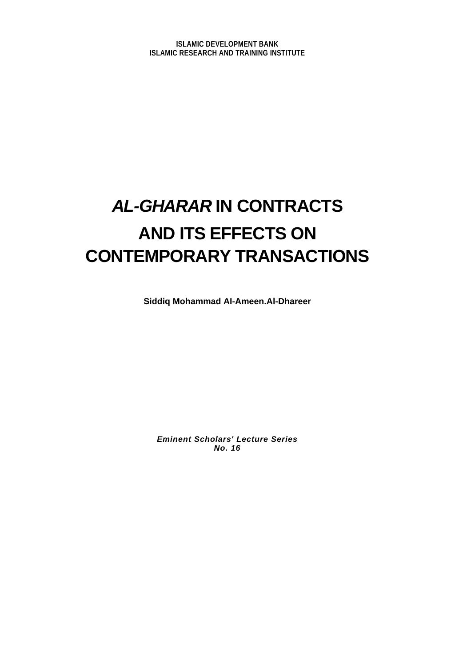## *AL-GHARAR* **IN CONTRACTS AND ITS EFFECTS ON CONTEMPORARY TRANSACTIONS**

**Siddiq Mohammad AI-Ameen.Al-Dhareer** 

*Eminent Scholars' Lecture Series No. 16*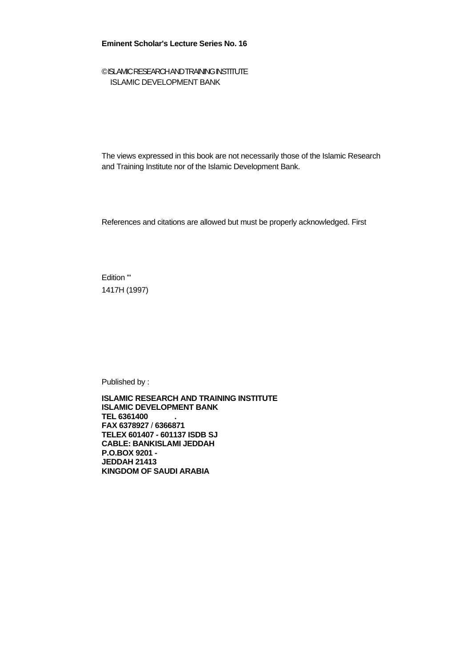#### **Eminent Scholar's Lecture Series No. 16**

#### © ISLAMIC RESEARCH AND TRAINING INSTITUTE ISLAMIC DEVELOPMENT BANK

The views expressed in this book are not necessarily those of the Islamic Research and Training Institute nor of the Islamic Development Bank.

References and citations are allowed but must be properly acknowledged. First

Edition '" 1417H (1997)

Published by :

**ISLAMIC RESEARCH AND TRAINING INSTITUTE ISLAMIC DEVELOPMENT BANK TEL 6361400 . FAX 6378927** / **6366871 TELEX 601407 - 601137 ISDB SJ CABLE: BANKISLAMI JEDDAH P.O.BOX 9201 - JEDDAH 21413 KINGDOM OF SAUDI ARABIA**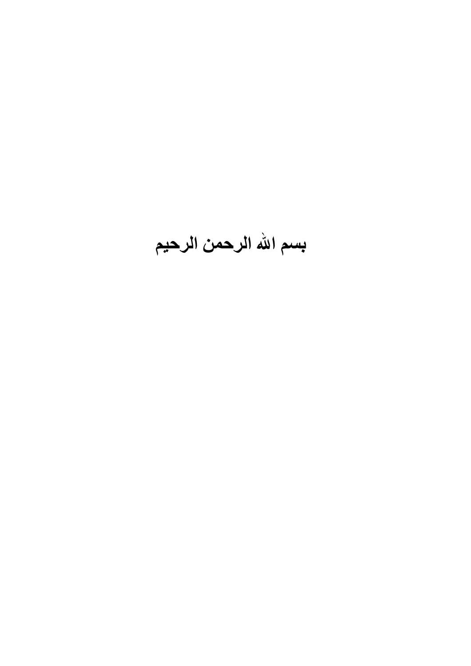# **بسم االله الرحمن الرحيم**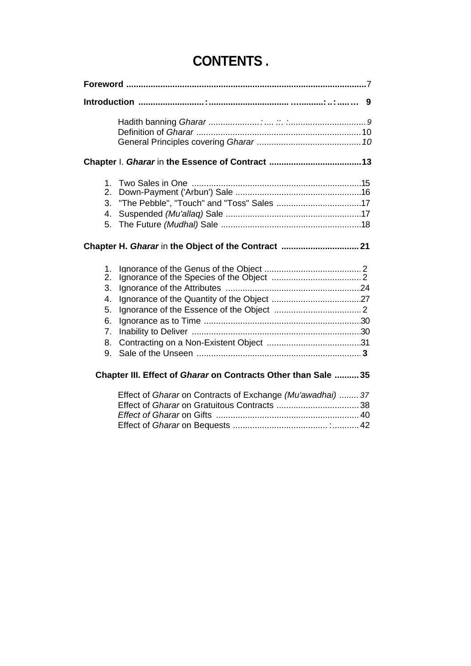| Foreword …………………………………………………………………………………7                      |
|----------------------------------------------------------------|
| 9                                                              |
|                                                                |
| 1.<br>2.<br>3.<br>4.<br>5.                                     |
| Chapter H. Gharar in the Object of the Contract  21            |
| 1.<br>2.<br>3.<br>4.<br>5.<br>6.<br>7.<br>8.<br>9.             |
| Chapter III. Effect of Gharar on Contracts Other than Sale  35 |

Effect of *Gharar* on Contracts of Exchange *(Mu'awadhai) ........ 37*  Effect of *Gharar* on Gratuitous Contracts ..................................38 *Effect of Gharar* on Gifts ...........................................................40 Effect of *Gharar* on Bequests ....................................... :...........42

## **CONTENTS .**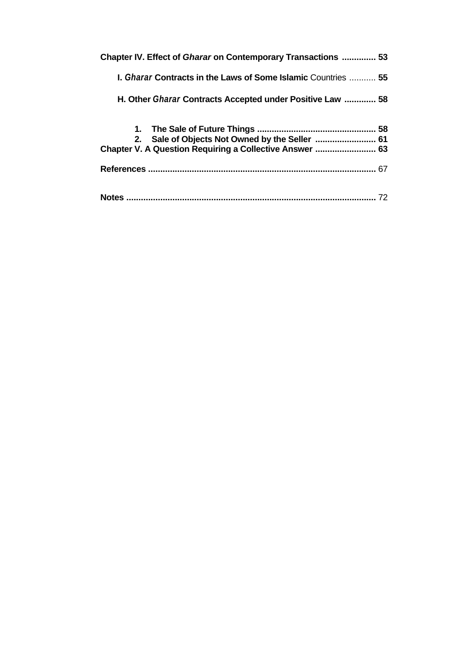| Chapter IV. Effect of <i>Gharar</i> on Contemporary Transactions  53        |
|-----------------------------------------------------------------------------|
| <b>I. <i>Gharar</i> Contracts in the Laws of Some Islamic</b> Countries  55 |
| H. Other <i>Gharar</i> Contracts Accepted under Positive Law  58            |
|                                                                             |
| 2. Sale of Objects Not Owned by the Seller  61                              |
| Chapter V. A Question Requiring a Collective Answer  63                     |
| 67                                                                          |
|                                                                             |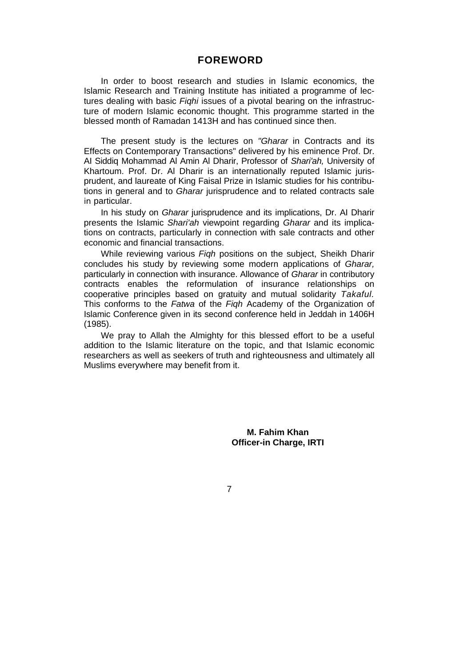#### **FOREWORD**

In order to boost research and studies in Islamic economics, the Islamic Research and Training Institute has initiated a programme of lectures dealing with basic *Fiqhi* issues of a pivotal bearing on the infrastructure of modern Islamic economic thought. This programme started in the blessed month of Ramadan 1413H and has continued since then.

The present study is the lectures on *"Gharar* in Contracts and its Effects on Contemporary Transactions" delivered by his eminence Prof. Dr. AI Siddiq Mohammad Al Amin Al Dharir, Professor of *Shari'ah,* University of Khartoum. Prof. Dr. Al Dharir is an internationally reputed Islamic jurisprudent, and laureate of King Faisal Prize in Islamic studies for his contributions in general and to *Gharar* jurisprudence and to related contracts sale in particular.

In his study on *Gharar* jurisprudence and its implications, Dr. AI Dharir presents the Islamic *Shari'ah* viewpoint regarding *Gharar* and its implications on contracts, particularly in connection with sale contracts and other economic and financial transactions.

While reviewing various *Fiqh* positions on the subject, Sheikh Dharir concludes his study by reviewing some modern applications of *Gharar,*  particularly in connection with insurance. Allowance of *Gharar* in contributory contracts enables the reformulation of insurance relationships on cooperative principles based on gratuity and mutual solidarity *Takaful.*  This conforms to the *Fatwa* of the *Fiqh* Academy of the Organization of Islamic Conference given in its second conference held in Jeddah in 1406H (1985).

We pray to Allah the Almighty for this blessed effort to be a useful addition to the Islamic literature on the topic, and that Islamic economic researchers as well as seekers of truth and righteousness and ultimately all Muslims everywhere may benefit from it.

> **M. Fahim Khan Officer-in Charge, IRTI**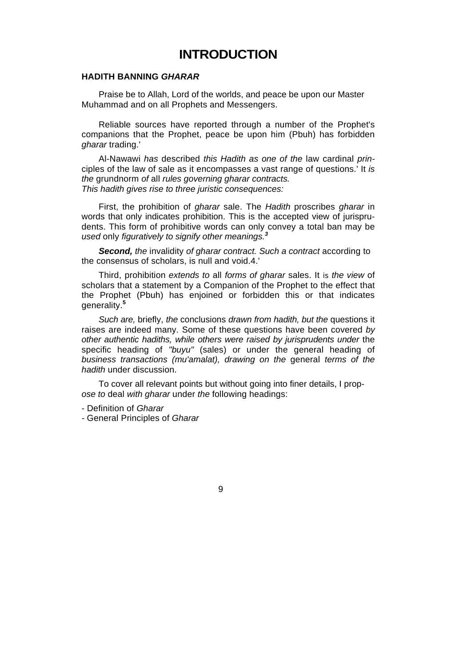## **INTRODUCTION**

#### **HADITH BANNING** *GHARAR*

Praise be to Allah, Lord of the worlds, and peace be upon our Master Muhammad and on all Prophets and Messengers.

Reliable sources have reported through a number of the Prophet's companions that the Prophet, peace be upon him (Pbuh) has forbidden *gharar* trading.'

Al-Nawawi *has* described *this Hadith as one of the* law cardinal *prin*ciples of the law of sale as it encompasses a vast range of questions.' It *is the* grundnorm *of* all *rules governing gharar contracts. This hadith gives rise to three juristic consequences:* 

First, the prohibition of *gharar* sale. The *Hadith* proscribes *gharar* in words that only indicates prohibition. This is the accepted view of jurisprudents. This form of prohibitive words can only convey a total ban may be *used* only *figuratively to signify other meanings.<sup>3</sup>*

**Second,** the invalidity of gharar contract. Such a contract according to the consensus of scholars, is null and void.4.'

Third, prohibition *extends to* all *forms of gharar* sales. It *is the view* of scholars that a statement by a Companion of the Prophet to the effect that the Prophet (Pbuh) has enjoined or forbidden this or that indicates generality.**<sup>5</sup>**

*Such are,* briefly, *the* conclusions *drawn from hadith, but the* questions it raises are indeed many. Some of these questions have been covered *by other authentic hadiths, while others were raised by jurisprudents under* the specific heading of *"buyu"* (sales) or under the general heading of *business transactions (mu'amalat), drawing on the* general *terms of the hadith* under discussion.

To cover all relevant points but without going into finer details, I prop*ose to* deal *with gharar* under *the* following headings:

- Definition of *Gharar* 

*-* General Principles of *Gharar*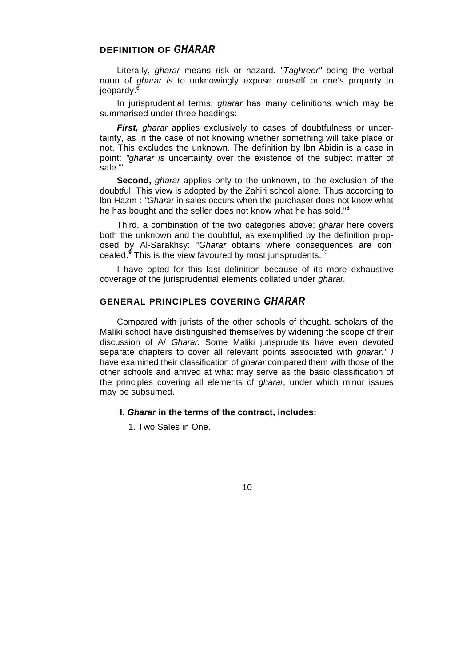#### **DEFINITION OF** *GHARAR*

Literally, *gharar* means risk or hazard. *"Taghreer"* being the verbal noun of *gharar is* to unknowingly expose oneself or one's property to jeopardy.<sup>6</sup>

In jurisprudential terms, *gharar* has many definitions which may be summarised under three headings:

*First, gharar applies exclusively to cases of doubtfulness or uncer*tainty, as in the case of not knowing whether something will take place or not. This excludes the unknown. The definition by lbn Abidin is a case in point: *"gharar is* uncertainty over the existence of the subject matter of sale."'

**Second,** *gharar* applies only to the unknown, to the exclusion of the doubtful. This view is adopted by the Zahiri school alone. Thus according to lbn Hazm : *"Gharar* in sales occurs when the purchaser does not know what he has bought and the seller does not know what he has sold."**<sup>8</sup>**

Third, a combination of the two categories above; *gharar* here covers both the unknown and the doubtful, as exemplified by the definition proposed by Al-Sarakhsy: *"Gharar* obtains where consequences are concealed.<sup>9</sup> This is the view favoured by most jurisprudents.<sup>10</sup>

I have opted for this last definition because of its more exhaustive coverage of the jurisprudential elements collated under *gharar.* 

#### **GENERAL PRINCIPLES COVERING** *GHARAR*

Compared with jurists of the other schools of thought, scholars of the Maliki school have distinguished themselves by widening the scope of their discussion of A/ *Gharar.* Some Maliki jurisprudents have even devoted separate chapters to cover all relevant points associated with *gharar." I*  have examined their classification of *gharar* compared them with those of the other schools and arrived at what may serve as the basic classification of the principles covering all elements of *gharar,* under which minor issues may be subsumed.

#### **I.** *Gharar* **in the terms of the contract, includes:**

1. Two Sales in One.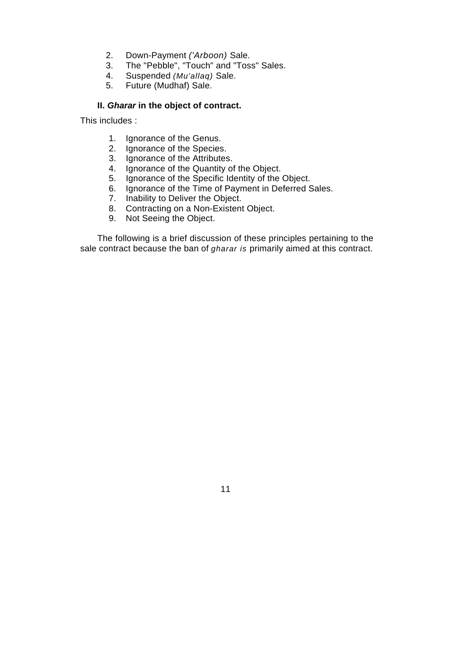- 2. Down-Payment *('Arboon)* Sale.
- 3. The "Pebble", "Touch" and "Toss" Sales.
- 4. Suspended *(Mu'allaq)* Sale.
- 5. Future (Mudhaf) Sale.

#### **II.** *Gharar* **in the object of contract.**

This includes :

- 1. Ignorance of the Genus.
- 2. Ignorance of the Species.
- 3. Ignorance of the Attributes.
- 4. Ignorance of the Quantity of the Object.
- 5. Ignorance of the Specific Identity of the Object.
- 6. Ignorance of the Time of Payment in Deferred Sales.
- 7. Inability to Deliver the Object.
- 8. Contracting on a Non-Existent Object.
- 9. Not Seeing the Object.

The following is a brief discussion of these principles pertaining to the sale contract because the ban of *gharar is* primarily aimed at this contract.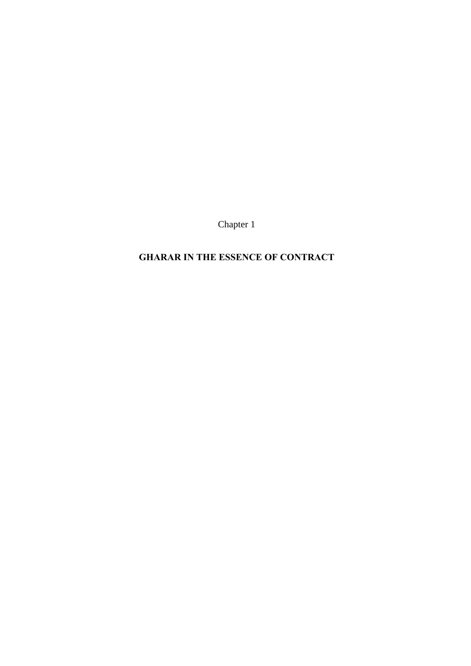Chapter 1

## **GHARAR IN THE ESSENCE OF CONTRACT**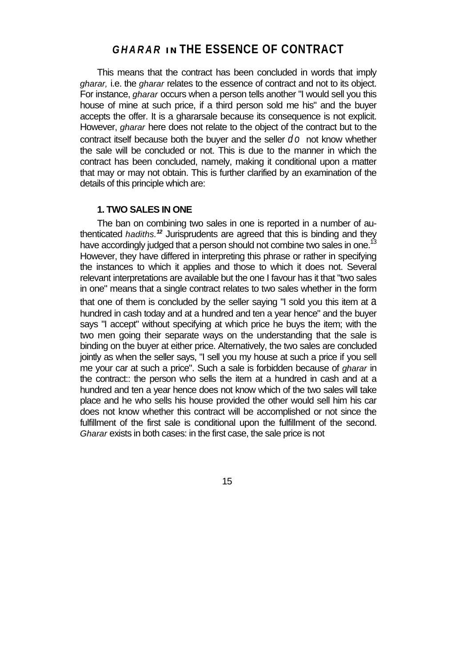## *GHARAR* **IN THE ESSENCE OF CONTRACT**

This means that the contract has been concluded in words that imply *gharar,* i.e. the *gharar* relates to the essence of contract and not to its object. For instance, *gharar* occurs when a person tells another "I would sell you this house of mine at such price, if a third person sold me his" and the buyer accepts the offer. It is a ghararsale because its consequence is not explicit. However, *gharar* here does not relate to the object of the contract but to the contract itself because both the buyer and the seller *do* not know whether the sale will be concluded or not. This is due to the manner in which the contract has been concluded, namely, making it conditional upon a matter that may or may not obtain. This is further clarified by an examination of the details of this principle which are:

#### **1. TWO SALES IN ONE**

The ban on combining two sales in one is reported in a number of authenticated *hadiths.<sup>12</sup>* Jurisprudents are agreed that this is binding and they have accordingly judged that a person should not combine two sales in one.<sup>13</sup> However, they have differed in interpreting this phrase or rather in specifying the instances to which it applies and those to which it does not. Several relevant interpretations are available but the one I favour has it that "two sales in one" means that a single contract relates to two sales whether in the form that one of them is concluded by the seller saying "I sold you this item at a hundred in cash today and at a hundred and ten a year hence" and the buyer says "I accept" without specifying at which price he buys the item; with the two men going their separate ways on the understanding that the sale is binding on the buyer at either price. Alternatively, the two sales are concluded jointly as when the seller says, "I sell you my house at such a price if you sell me your car at such a price". Such a sale is forbidden because of *gharar* in the contract:: the person who sells the item at a hundred in cash and at a hundred and ten a year hence does not know which of the two sales will take place and he who sells his house provided the other would sell him his car does not know whether this contract will be accomplished or not since the fulfillment of the first sale is conditional upon the fulfillment of the second. *Gharar* exists in both cases: in the first case, the sale price is not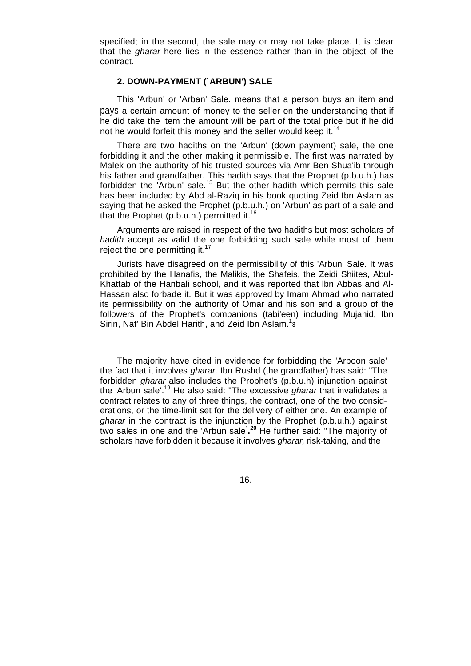specified; in the second, the sale may or may not take place. It is clear that the *gharar* here lies in the essence rather than in the object of the contract.

#### **2. DOWN-PAYMENT (`ARBUN') SALE**

This 'Arbun' or 'Arban' Sale. means that a person buys an item and pays a certain amount of money to the seller on the understanding that if he did take the item the amount will be part of the total price but if he did not he would forfeit this money and the seller would keep it.<sup>14</sup>

There are two hadiths on the 'Arbun' (down payment) sale, the one forbidding it and the other making it permissible. The first was narrated by Malek on the authority of his trusted sources via Amr Ben Shua'ib through his father and grandfather. This hadith says that the Prophet (p.b.u.h.) has forbidden the 'Arbun' sale.<sup>15</sup> But the other hadith which permits this sale has been included by Abd al-Raziq in his book quoting Zeid Ibn Aslam as saying that he asked the Prophet (p.b.u.h.) on 'Arbun' as part of a sale and that the Prophet  $(p.b.u.h.)$  permitted it.<sup>16</sup>

Arguments are raised in respect of the two hadiths but most scholars of *hadith* accept as valid the one forbidding such sale while most of them reject the one permitting it. $17$ 

Jurists have disagreed on the permissibility of this 'Arbun' Sale. It was prohibited by the Hanafis, the Malikis, the Shafeis, the Zeidi Shiites, Abul-Khattab of the Hanbali school, and it was reported that lbn Abbas and Al-Hassan also forbade it. But it was approved by Imam Ahmad who narrated its permissibility on the authority of Omar and his son and a group of the followers of the Prophet's companions (tabi'een) including Mujahid, Ibn Sirin, Naf' Bin Abdel Harith, and Zeid Ibn Aslam. $1_8$ 

The majority have cited in evidence for forbidding the 'Arboon sale' the fact that it involves *gharar.* Ibn Rushd (the grandfather) has said: "The forbidden *gharar* also includes the Prophet's (p.b.u.h) injunction against the 'Arbun sale'.19 He also said: "The excessive *gharar* that invalidates a contract relates to any of three things, the contract, one of the two considerations, or the time-limit set for the delivery of either one. An example of *gharar* in the contract is the injunction by the Prophet (p.b.u.h.) against two sales in one and the 'Arbun sale" **. <sup>20</sup>** He further said: "The majority of scholars have forbidden it because it involves *gharar,* risk-taking, and the

16.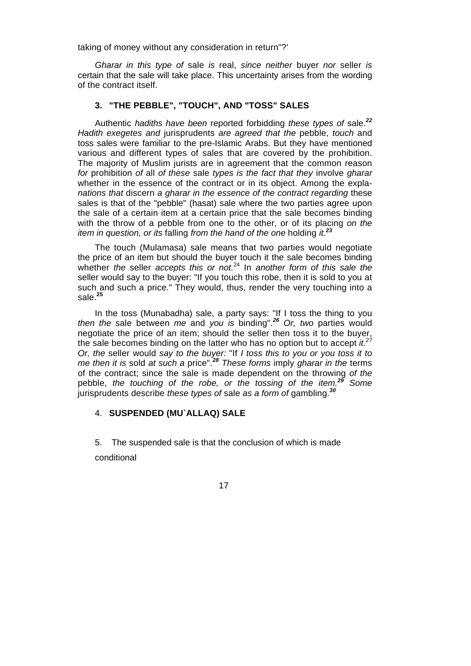taking of money without any consideration in return"?'

*Gharar in this type of* sale *is* real, *since neither* buyer *nor* seller *is*  certain that the sale will take place. This uncertainty arises from the wording of the contract itself.

#### **3. "THE PEBBLE", "TOUCH", AND "TOSS" SALES**

Authentic *hadiths have been* reported forbidding *these types of* sale.*<sup>22</sup> Hadith exegetes and* jurisprudents *are agreed that the* pebble, *touch* and toss sales were familiar to the pre-Islamic Arabs. But they have mentioned various and different types of sales that are covered by the prohibition. The majority of Muslim jurists are in agreement that the common reason *for* prohibition *of* all *of these* sale *types is the fact that they* involve *gharar*  whether in the essence of the contract or in its object. Among the expla*nations that* discern *a gharar in the essence of the contract regarding* these sales is that of the "pebble" (hasat) sale where the two parties agree upon the sale of a certain item at a certain price that the sale becomes binding with the throw of a pebble from one to the other, or of its placing *on the item in question, or its* falling *from the hand of the one* holding *it.<sup>23</sup>*

The touch (Mulamasa) sale means that two parties would negotiate the price of an item but should the buyer touch it the sale becomes binding whether *the* seller *accepts this or not.*<sup>24</sup> In *another form of this sale the*  seller would say to the buyer: "If you touch this robe, then it is sold to you at such and such a price." They would, thus, render the very touching into a sale.**<sup>25</sup>**

In the toss (Munabadha) sale, a party says: "If I toss the thing to you *then the* sale between *me* and *you is* binding".*<sup>26</sup> Or, two* parties would negotiate the price of an item; should the seller then toss it to the buyer, the sale becomes binding on the latter who has no option but to accept *it.<sup>27</sup> Or, the* seller would *say to the buyer:* "If *I toss this to you or you toss it to me then it is* sold *at such a* price".*<sup>28</sup> These forms* imply *gharar in the* terms of the contract; since the sale is made dependent on the throwing *of the*  pebble, *the touching of the robe, or the tossing of the item.<sup>29</sup> Some*  jurisprudents describe *these types of* sale *as a form of* gambling.*<sup>30</sup>*

#### 4. **SUSPENDED (MU`ALLAQ) SALE**

5. The suspended sale is that the conclusion of which is made conditional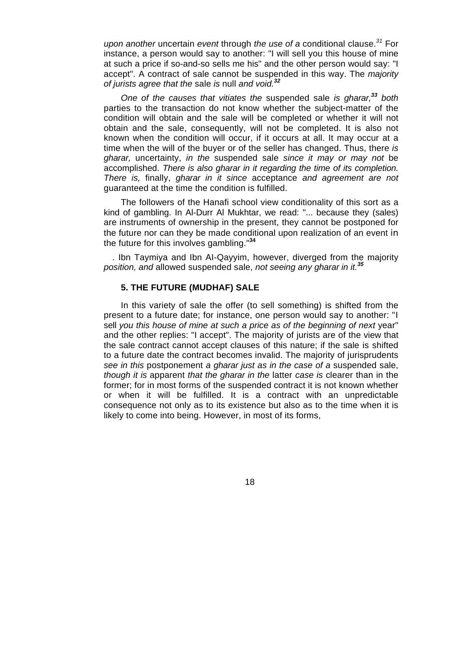*upon another* uncertain *event* through *the use of a* conditional clause.*<sup>31</sup>* For instance, a person would say to another: "I will sell you this house of mine at such a price if so-and-so sells me his" and the other person would say: "I accept". A contract of sale cannot be suspended in this way. The *majority of jurists agree that the* sale *is* null *and void.<sup>32</sup>*

*One of the causes that vitiates the* suspended sale *is gharar,<sup>33</sup> both*  parties to the transaction do not know whether the subject-matter of the condition will obtain and the sale will be completed or whether it will not obtain and the sale, consequently, will not be completed. It is also not known when the condition will occur, if it occurs at all. It may occur at a time when the will of the buyer or of the seller has changed. Thus, there *is gharar,* uncertainty, *in the* suspended sale *since it may or may not* be accomplished. *There is also gharar in it regarding the time of its completion. There is,* finally, *gharar in it since* acceptance *and agreement are not*  guaranteed at the time the condition is fulfilled.

The followers of the Hanafi school view conditionality of this sort as a kind of gambling. In Al-Durr Al Mukhtar, we read: "... because they (sales) are instruments of ownership in the present, they cannot be postponed for the future nor can they be made conditional upon realization of an event in the future for this involves gambling."**<sup>34</sup>**

. Ibn Taymiya and Ibn AI-Qayyim, however, diverged from the majority *position, and* allowed suspended sale, *not seeing any gharar in it.<sup>35</sup>*

#### **5. THE FUTURE (MUDHAF) SALE**

In this variety of sale the offer (to sell something) is shifted from the present to a future date; for instance, one person would say to another: "I sell you this house of mine at such a price as of the beginning of next year" and the other replies: "I accept". The majority of jurists are of the view that the sale contract cannot accept clauses of this nature; if the sale is shifted to a future date the contract becomes invalid. The majority of jurisprudents *see in this* postponement *a gharar just as in the case of a* suspended sale, *though it is* apparent *that the gharar in the* latter *case is* clearer than in the former; for in most forms of the suspended contract it is not known whether or when it will be fulfilled. It is a contract with an unpredictable consequence not only as to its existence but also as to the time when it is likely to come into being. However, in most of its forms,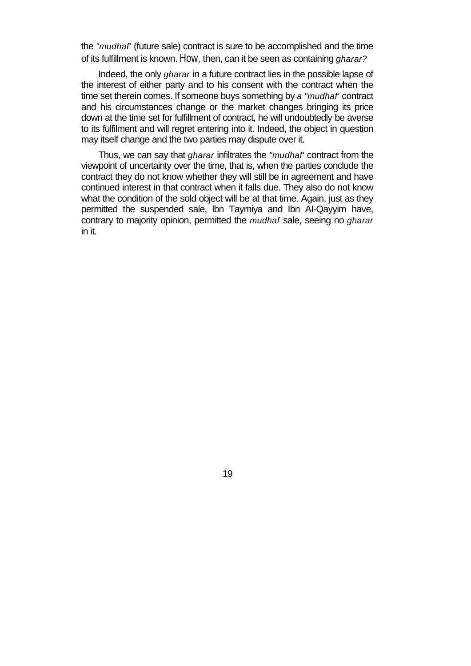the *"mudhaf'* (future sale) contract is sure to be accomplished and the time of its fulfillment is known. How, then, can it be seen as containing *gharar?* 

Indeed, the only *gharar* in a future contract lies in the possible lapse of the interest of either party and to his consent with the contract when the time set therein comes. If someone buys something by *a "mudhaf'* contract and his circumstances change or the market changes bringing its price down at the time set for fulfillment of contract, he will undoubtedly be averse to its fulfilment and will regret entering into it. Indeed, the object in question may itself change and the two parties may dispute over it.

Thus, we can say that *gharar* infiltrates the *"mudhaf'* contract from the viewpoint of uncertainty over the time, that is, when the parties conclude the contract they do not know whether they will still be in agreement and have continued interest in that contract when it falls due. They also do not know what the condition of the sold object will be at that time. Again, just as they permitted the suspended sale, lbn Taymiya and Ibn AI-Qayyim have, contrary to majority opinion, permitted the *mudhaf* sale, seeing no *gharar*  in it.

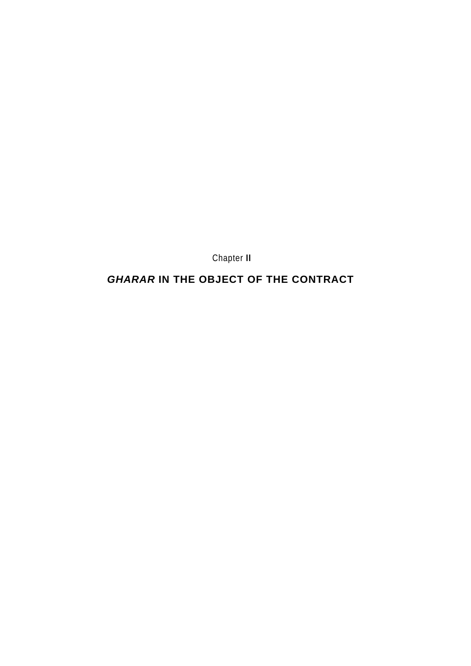Chapter **II** 

## *GHARAR* **IN THE OBJECT OF THE CONTRACT**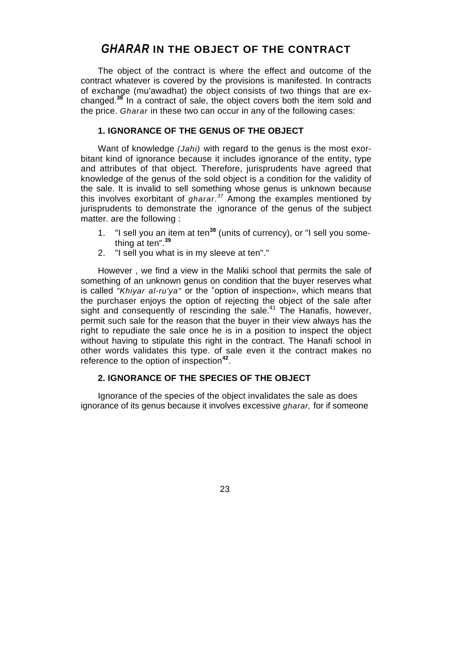### *GHARAR* **IN THE OBJECT OF THE CONTRACT**

The object of the contract is where the effect and outcome of the contract whatever is covered by the provisions is manifested. In contracts of exchange (mu'awadhat) the object consists of two things that are exchanged.**<sup>38</sup>** In a contract of sale, the object covers both the item sold and the price. *Gharar* in these two can occur in any of the following cases:

#### **1. IGNORANCE OF THE GENUS OF THE OBJECT**

Want of knowledge *(Jahi)* with regard to the genus is the most exorbitant kind of ignorance because it includes ignorance of the entity, type and attributes of that object. Therefore, jurisprudents have agreed that knowledge of the genus of the sold object is a condition for the validity of the sale. It is invalid to sell something whose genus is unknown because this involves exorbitant of *gharar.<sup>37</sup>* Among the examples mentioned by jurisprudents to demonstrate the janorance of the genus of the subject matter. are the following :

- 1. "I sell you an item at ten**<sup>38</sup>** (units of currency), or "I sell you something at ten".**<sup>39</sup>**
- 2. "I sell you what is in my sleeve at ten"."

However , we find a view in the Maliki school that permits the sale of something of an unknown genus on condition that the buyer reserves what is called "Khiyar al-ru'ya" or the "option of inspection», which means that the purchaser enjoys the option of rejecting the object of the sale after sight and consequently of rescinding the sale.<sup>41</sup> The Hanafis, however, permit such sale for the reason that the buyer in their view always has the right to repudiate the sale once he is in a position to inspect the object without having to stipulate this right in the contract. The Hanafi school in other words validates this type. of sale even it the contract makes no reference to the option of inspection**<sup>42</sup>**.

#### **2. IGNORANCE OF THE SPECIES OF THE OBJECT**

Ignorance of the species of the object invalidates the sale as does ignorance of its genus because it involves excessive *gharar,* for if someone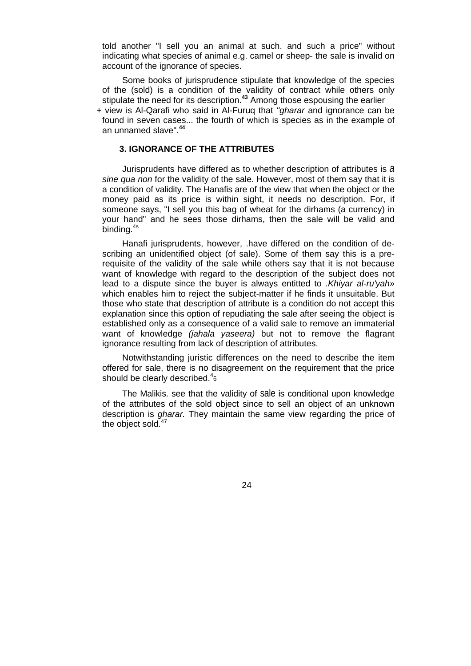told another "I sell you an animal at such. and such a price" without indicating what species of animal e.g. camel or sheep- the sale is invalid on account of the ignorance of species.

Some books of jurisprudence stipulate that knowledge of the species of the (sold) is a condition of the validity of contract while others only stipulate the need for its description.**<sup>43</sup>** Among those espousing the earlier

+ view is Al-Qarafi who said in Al-Furuq that *"gharar* and ignorance can be found in seven cases... the fourth of which is species as in the example of an unnamed slave".**<sup>44</sup>**

#### **3. IGNORANCE OF THE ATTRIBUTES**

Jurisprudents have differed as to whether description of attributes is *a sine qua non* for the validity of the sale. However, most of them say that it is a condition of validity. The Hanafis are of the view that when the object or the money paid as its price is within sight, it needs no description. For, if someone says, "I sell you this bag of wheat for the dirhams (a currency) in your hand" and he sees those dirhams, then the sale will be valid and binding.<sup>4s</sup>

Hanafi jurisprudents, however, .have differed on the condition of describing an unidentified object (of sale). Some of them say this is a prerequisite of the validity of the sale while others say that it is not because want of knowledge with regard to the description of the subject does not lead to a dispute since the buyer is always entitted to *.Khiyar al-ru'yah»*  which enables him to reject the subject-matter if he finds it unsuitable. But those who state that description of attribute is a condition do not accept this explanation since this option of repudiating the sale after seeing the object is established only as a consequence of a valid sale to remove an immaterial want of knowledge *(jahala yaseera)* but not to remove the flagrant ignorance resulting from lack of description of attributes.

Notwithstanding juristic differences on the need to describe the item offered for sale, there is no disagreement on the requirement that the price should be clearly described. $46$ 

The Malikis. see that the validity of sale is conditional upon knowledge of the attributes of the sold object since to sell an object of an unknown description is *gharar.* They maintain the same view regarding the price of the object sold. $47$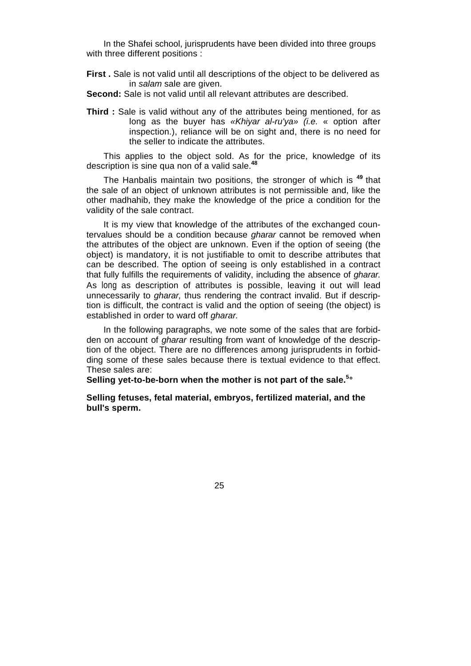In the Shafei school, jurisprudents have been divided into three groups with three different positions :

**First .** Sale is not valid until all descriptions of the object to be delivered as in *salam* sale are given.

**Second:** Sale is not valid until all relevant attributes are described.

**Third :** Sale is valid without any of the attributes being mentioned, for as long as the buyer has *«Khiyar al-ru'ya» (i.e.* « option after inspection.), reliance will be on sight and, there is no need for the seller to indicate the attributes.

This applies to the object sold. As for the price, knowledge of its description is sine qua non of a valid sale.**<sup>48</sup>**

The Hanbalis maintain two positions, the stronger of which is **<sup>49</sup>**that the sale of an object of unknown attributes is not permissible and, like the other madhahib, they make the knowledge of the price a condition for the validity of the sale contract.

It is my view that knowledge of the attributes of the exchanged countervalues should be a condition because *gharar* cannot be removed when the attributes of the object are unknown. Even if the option of seeing (the object) is mandatory, it is not justifiable to omit to describe attributes that can be described. The option of seeing is only established in a contract that fully fulfills the requirements of validity, including the absence of *gharar.*  As long as description of attributes is possible, leaving it out will lead unnecessarily to *gharar,* thus rendering the contract invalid. But if description is difficult, the contract is valid and the option of seeing (the object) is established in order to ward off *gharar.* 

In the following paragraphs, we note some of the sales that are forbidden on account of *gharar* resulting from want of knowledge of the description of the object. There are no differences among jurisprudents in forbidding some of these sales because there is textual evidence to that effect. These sales are:

**Selling yet-to-be-born when the mother is not part of the sale.<sup>5</sup> °**

**Selling fetuses, fetal material, embryos, fertilized material, and the bull's sperm.**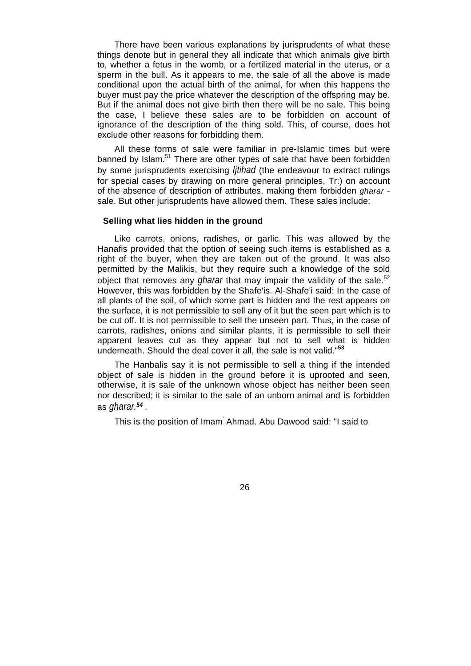There have been various explanations by jurisprudents of what these things denote but in general they all indicate that which animals give birth to, whether a fetus in the womb, or a fertilized material in the uterus, or a sperm in the bull. As it appears to me, the sale of all the above is made conditional upon the actual birth of the animal, for when this happens the buyer must pay the price whatever the description of the offspring may be. But if the animal does not give birth then there will be no sale. This being the case, I believe these sales are to be forbidden on account of ignorance of the description of the thing sold. This, of course, does hot exclude other reasons for forbidding them.

All these forms of sale were familiar in pre-Islamic times but were banned by Islam.<sup>51</sup> There are other types of sale that have been forbidden by some jurisprudents exercising *Ijtihad* (the endeavour to extract rulings for special cases by drawing on more general principles, Tr:) on account of the absence of description of attributes, making them forbidden *gharar*  sale. But other jurisprudents have allowed them. These sales include:

#### **Selling what lies hidden in the ground**

Like carrots, onions, radishes, or garlic. This was allowed by the Hanafis provided that the option of seeing such items is established as a right of the buyer, when they are taken out of the ground. It was also permitted by the Malikis, but they require such a knowledge of the sold object that removes any *gharar* that may impair the validity of the sale.<sup>52</sup> However, this was forbidden by the Shafe'is. Al-Shafe'i said: In the case of all plants of the soil, of which some part is hidden and the rest appears on the surface, it is not permissible to sell any of it but the seen part which is to be cut off. It is not permissible to sell the unseen part. Thus, in the case of carrots, radishes, onions and similar plants, it is permissible to sell their apparent leaves cut as they appear but not to sell what is hidden underneath. Should the deal cover it all, the sale is not valid."**<sup>53</sup>**

The Hanbalis say it is not permissible to sell a thing if the intended object of sale is hidden in the ground before it is uprooted and seen, otherwise, it is sale of the unknown whose object has neither been seen nor described; it is similar to the sale of an unborn animal and is forbidden as *gharar.54 .* 

This is the position of Imam' Ahmad. Abu Dawood said: "I said to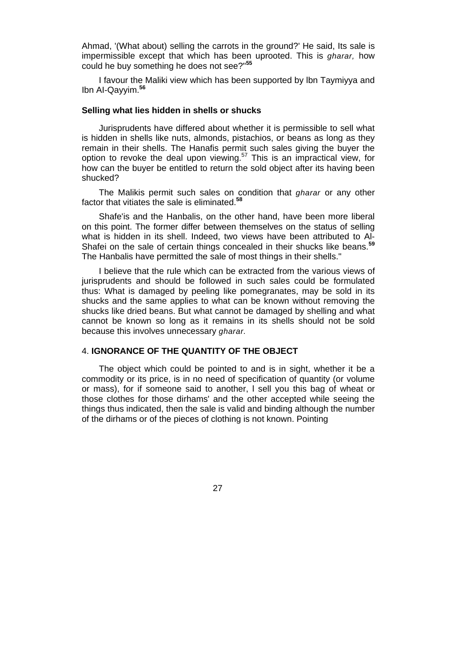Ahmad, '(What about) selling the carrots in the ground?' He said, Its sale is impermissible except that which has been uprooted. This is *gharar,* how could he buy something he does not see?"**<sup>55</sup>**

I favour the Maliki view which has been supported by lbn Taymiyya and Ibn AI-Qayyim.**<sup>56</sup>**

#### **Selling what lies hidden in shells or shucks**

Jurisprudents have differed about whether it is permissible to sell what is hidden in shells like nuts, almonds, pistachios, or beans as long as they remain in their shells. The Hanafis permit such sales giving the buyer the option to revoke the deal upon viewing.<sup>57</sup> This is an impractical view, for how can the buyer be entitled to return the sold object after its having been shucked?

The Malikis permit such sales on condition that *gharar* or any other factor that vitiates the sale is eliminated.**<sup>58</sup>**

Shafe'is and the Hanbalis, on the other hand, have been more liberal on this point. The former differ between themselves on the status of selling what is hidden in its shell. Indeed, two views have been attributed to Al-Shafei on the sale of certain things concealed in their shucks like beans.**<sup>59</sup>** The Hanbalis have permitted the sale of most things in their shells."

I believe that the rule which can be extracted from the various views of jurisprudents and should be followed in such sales could be formulated thus: What is damaged by peeling like pomegranates, may be sold in its shucks and the same applies to what can be known without removing the shucks like dried beans. But what cannot be damaged by shelling and what cannot be known so long as it remains in its shells should not be sold because this involves unnecessary *gharar.* 

#### 4. **IGNORANCE OF THE QUANTITY OF THE OBJECT**

The object which could be pointed to and is in sight, whether it be a commodity or its price, is in no need of specification of quantity (or volume or mass), for if someone said to another, l sell you this bag of wheat or those clothes for those dirhams' and the other accepted while seeing the things thus indicated, then the sale is valid and binding although the number of the dirhams or of the pieces of clothing is not known. Pointing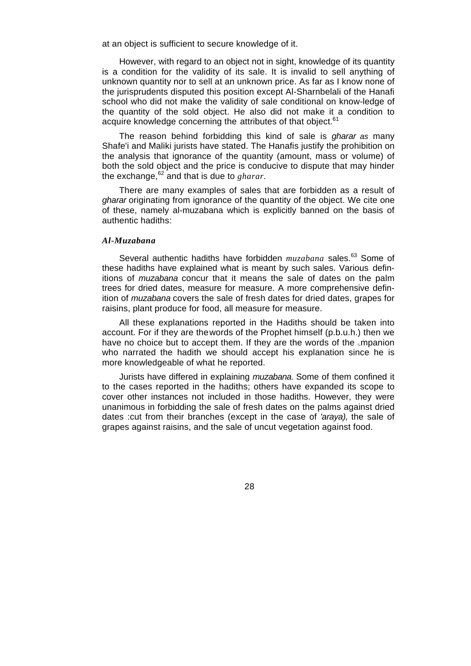at an object is sufficient to secure knowledge of it.

However, with regard to an object not in sight, knowledge of its quantity is a condition for the validity of its sale. It is invalid to sell anything of unknown quantity nor to sell at an unknown price. As far as I know none of the jurisprudents disputed this position except Al-Sharnbelali of the Hanafi school who did not make the validity of sale conditional on know-ledge of the quantity of the sold object. He also did not make it a condition to acquire knowledge concerning the attributes of that object.<sup>61</sup>

The reason behind forbidding this kind of sale is *gharar as* many Shafe'i and Maliki jurists have stated. The Hanafis justify the prohibition on the analysis that ignorance of the quantity (amount, mass or volume) of both the sold object and the price is conducive to dispute that may hinder the exchange,  $62$  and that is due to *gharar*.

There are many examples of sales that are forbidden as a result of *gharar* originating from ignorance of the quantity of the object. We cite one of these, namely al-muzabana which is explicitly banned on the basis of authentic hadiths:

#### *Al-Muzabana*

Several authentic hadiths have forbidden *muzabana* sales.<sup>63</sup> Some of these hadiths have explained what is meant by such sales. Various, definitions of *muzabana* concur that it means the sale of dates on the palm trees for dried dates, measure for measure. A more comprehensive definition of *muzabana* covers the sale of fresh dates for dried dates, grapes for raisins, plant produce for food, all measure for measure.

All these explanations reported in the Hadiths should be taken into account. For if they are thewords of the Prophet himself (p.b.u.h.) then we have no choice but to accept them. If they are the words of the  $\epsilon$ mpanion who narrated the hadith we should accept his explanation since he is more knowledgeable of what he reported.

Jurists have differed in explaining *muzabana.* Some of them confined it to the cases reported in the hadiths; others have expanded its scope to cover other instances not included in those hadiths. However, they were unanimous in forbidding the sale of fresh dates on the palms against dried dates :cut from their branches (except in the case of *'araya),* the sale of grapes against raisins, and the sale of uncut vegetation against food.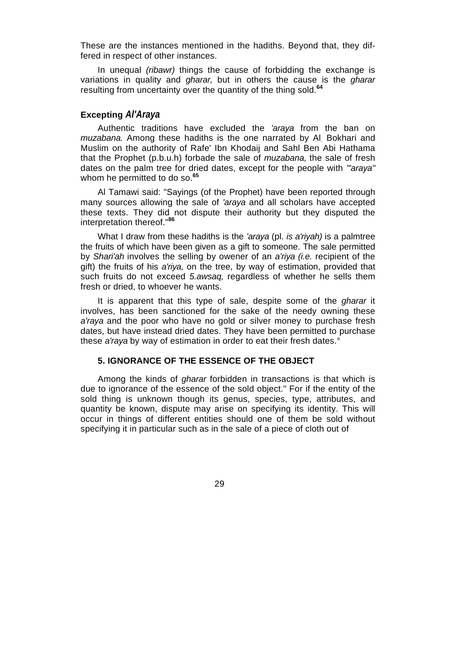These are the instances mentioned in the hadiths. Beyond that, they differed in respect of other instances.

In unequal *(ribawr)* things the cause of forbidding the exchange is variations in quality and *gharar,* but in others the cause is the *gharar*  resulting from uncertainty over the quantity of the thing sold.**<sup>64</sup>**

#### **Excepting** *Al'Araya*

Authentic traditions have excluded the *'araya* from the ban on *muzabana.* Among these hadiths is the one narrated by Al. Bokhari and Muslim on the authority of Rafe' Ibn Khodaij and Sahl Ben Abi Hathama that the Prophet (p.b.u.h) forbade the sale of *muzabana,* the sale of fresh dates on the palm tree for dried dates, except for the people with *"'araya"*  whom he permitted to do so.**<sup>65</sup>**

Al Tamawi said: "Sayings (of the Prophet) have been reported through many sources allowing the sale of *'araya* and all scholars have accepted these texts. They did not dispute their authority but they disputed the interpretation thereof."**<sup>86</sup>**

What I draw from these hadiths is the *'araya* (pl. *is a'riyah)* is a palmtree the fruits of which have been given as a gift to someone. The sale permitted by *Shari'ah* involves the selling by owener of an *a'riya (i.e.* recipient of the gift) the fruits of his *a'riya,* on the tree, by way of estimation, provided that such fruits do not exceed *5.awsaq,* regardless of whether he sells them fresh or dried, to whoever he wants.

It is apparent that this type of sale, despite some of the *gharar* it involves, has been sanctioned for the sake of the needy owning these *a'raya* and the poor who have no gold or silver money to purchase fresh dates, but have instead dried dates. They have been permitted to purchase these *a'raya* by way of estimation in order to eat their fresh dates.°

#### **5. IGNORANCE OF THE ESSENCE OF THE OBJECT**

Among the kinds of *gharar* forbidden in transactions is that which is due to ignorance of the essence of the sold object." For if the entity of the sold thing is unknown though its genus, species, type, attributes, and quantity be known, dispute may arise on specifying its identity. This will occur in things of different entities should one of them be sold without specifying it in particular such as in the sale of a piece of cloth out of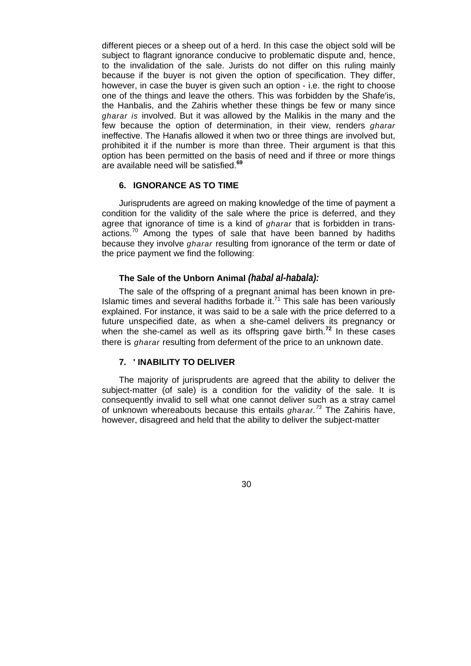different pieces or a sheep out of a herd. In this case the object sold will be subject to flagrant ignorance conducive to problematic dispute and, hence, to the invalidation of the sale. Jurists do not differ on this ruling mainly because if the buyer is not given the option of specification. They differ, however, in case the buyer is given such an option - i.e. the right to choose one of the things and leave the others. This was forbidden by the Shafe'is, the Hanbalis, and the Zahiris whether these things be few or many since *gharar is* involved. But it was allowed by the Malikis in the many and the few because the option of determination, in their view, renders *gharar*  ineffective. The Hanafis allowed it when two or three things are involved but, prohibited it if the number is more than three. Their argument is that this option has been permitted on the basis of need and if three or more things are available need will be satisfied.**<sup>69</sup>**

#### **6. IGNORANCE AS TO TIME**

Jurisprudents are agreed on making knowledge of the time of payment a condition for the validity of the sale where the price is deferred, and they agree that ignorance of time is a kind of *gharar* that is forbidden in trans $actions.<sup>70</sup>$  Among the types of sale that have been banned by hadiths because they involve *gharar* resulting from ignorance of the term or date of the price payment we find the following:

#### **The Sale of the Unborn Animal** *(habal al-habala):*

The sale of the offspring of a pregnant animal has been known in pre-Islamic times and several hadiths forbade it. $71$  This sale has been variously explained. For instance, it was said to be a sale with the price deferred to a future unspecified date, as when a she-camel delivers its pregnancy or when the she-camel as well as its offspring gave birth.**<sup>72</sup>** In these cases there is *gharar* resulting from deferment of the price to an unknown date.

#### **7. ' INABILITY TO DELIVER**

The majority of jurisprudents are agreed that the ability to deliver the subject-matter (of sale) is a condition for the validity of the sale. It is consequently invalid to sell what one cannot deliver such as a stray camel of unknown whereabouts because this entails *gharar.<sup>73</sup>* The Zahiris have, however, disagreed and held that the ability to deliver the subject-matter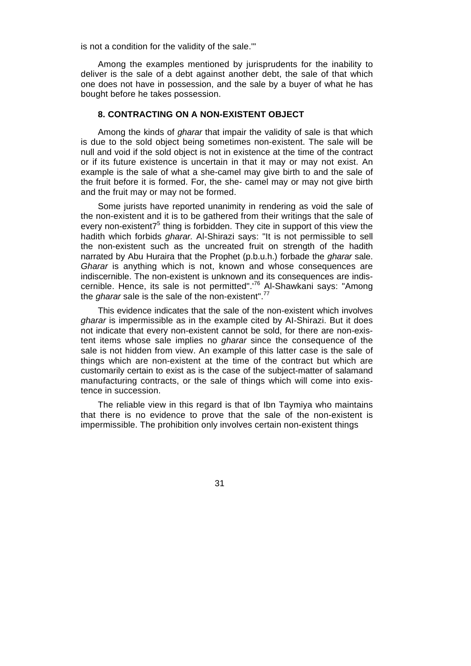is not a condition for the validity of the sale.'"

Among the examples mentioned by jurisprudents for the inability to deliver is the sale of a debt against another debt, the sale of that which one does not have in possession, and the sale by a buyer of what he has bought before he takes possession.

#### **8. CONTRACTING ON A NON-EXISTENT OBJECT**

Among the kinds of *gharar* that impair the validity of sale is that which is due to the sold object being sometimes non-existent. The sale will be null and void if the sold object is not in existence at the time of the contract or if its future existence is uncertain in that it may or may not exist. An example is the sale of what a she-camel may give birth to and the sale of the fruit before it is formed. For, the she- camel may or may not give birth and the fruit may or may not be formed.

Some jurists have reported unanimity in rendering as void the sale of the non-existent and it is to be gathered from their writings that the sale of every non-existent $7<sup>5</sup>$  thing is forbidden. They cite in support of this view the hadith which forbids *gharar.* Al-Shirazi says: "It is not permissible to sell the non-existent such as the uncreated fruit on strength of the hadith narrated by Abu Huraira that the Prophet (p.b.u.h.) forbade the *gharar* sale. *Gharar* is anything which is not, known and whose consequences are indiscernible. The non-existent is unknown and its consequences are indiscernible. Hence, its sale is not permitted".<sup>'76</sup> Al-Shawkani says: "Among the *gharar* sale is the sale of the non-existent".<sup>77</sup>

This evidence indicates that the sale of the non-existent which involves *gharar* is impermissible as in the example cited by AI-Shirazi. But it does not indicate that every non-existent cannot be sold, for there are non-existent items whose sale implies no *gharar* since the consequence of the sale is not hidden from view. An example of this latter case is the sale of things which are non-existent at the time of the contract but which are customarily certain to exist as is the case of the subject-matter of salamand manufacturing contracts, or the sale of things which will come into existence in succession.

The reliable view in this regard is that of Ibn Taymiya who maintains that there is no evidence to prove that the sale of the non-existent is impermissible. The prohibition only involves certain non-existent things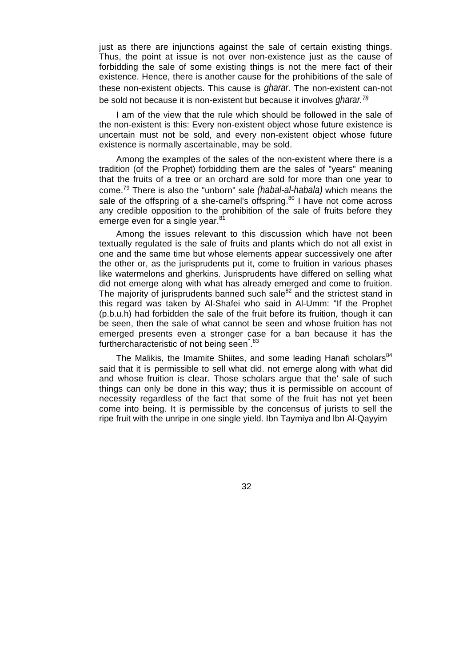just as there are injunctions against the sale of certain existing things. Thus, the point at issue is not over non-existence just as the cause of forbidding the sale of some existing things is not the mere fact of their existence. Hence, there is another cause for the prohibitions of the sale of these non-existent objects. This cause is *gharar.* The non-existent can-not be sold not because it is non-existent but because it involves *gharar.78*

I am of the view that the rule which should be followed in the sale of the non-existent is this: Every non-existent object whose future existence is uncertain must not be sold, and every non-existent object whose future existence is normally ascertainable, may be sold.

Among the examples of the sales of the non-existent where there is a tradition (of the Prophet) forbidding them are the sales of "years" meaning that the fruits of a tree or an orchard are sold for more than one year to come.79 There is also the "unborn" sale *(habal-al-habala)* which means the sale of the offspring of a she-camel's offspring. $80$  I have not come across any credible opposition to the prohibition of the sale of fruits before they emerge even for a single year.<sup>81</sup>

Among the issues relevant to this discussion which have not been textually regulated is the sale of fruits and plants which do not all exist in one and the same time but whose elements appear successively one after the other or, as the jurisprudents put it, come to fruition in various phases like watermelons and gherkins. Jurisprudents have differed on selling what did not emerge along with what has already emerged and come to fruition. The majority of jurisprudents banned such sale $^{82}$  and the strictest stand in this regard was taken by Al-Shafei who said in Al-Umm: "If the Prophet (p.b.u.h) had forbidden the sale of the fruit before its fruition, though it can be seen, then the sale of what cannot be seen and whose fruition has not emerged presents even a stronger case for a ban because it has the furthercharacteristic of not being seen<sup>" 83</sup>

The Malikis, the Imamite Shiites, and some leading Hanafi scholars<sup>84</sup> said that it is permissible to sell what did. not emerge along with what did and whose fruition is clear. Those scholars argue that the' sale of such things can only be done in this way; thus it is permissible on account of necessity regardless of the fact that some of the fruit has not yet been come into being. It is permissible by the concensus of jurists to sell the ripe fruit with the unripe in one single yield. Ibn Taymiya and lbn Al-Qayyim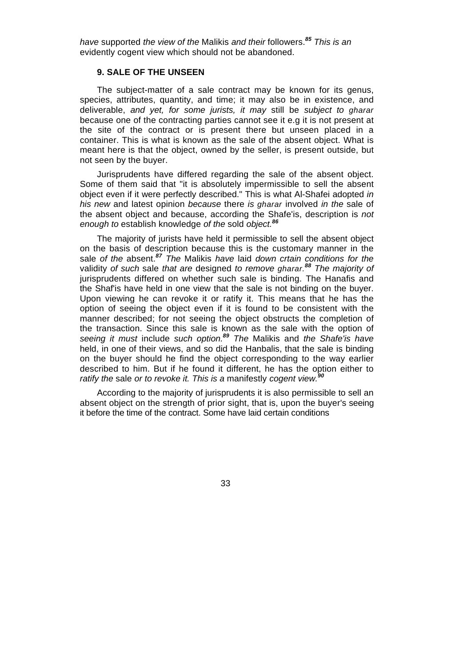*have* supported *the view of the* Malikis *and their* followers.*<sup>85</sup> This is an*  evidently cogent view which should not be abandoned.

#### **9. SALE OF THE UNSEEN**

The subject-matter of a sale contract may be known for its genus, species, attributes, quantity, and time; it may also be in existence, and deliverable, *and yet, for some jurists, it may* still be *subject to gharar*  because one of the contracting parties cannot see it e.g it is not present at the site of the contract or is present there but unseen placed in a container. This is what is known as the sale of the absent object. What is meant here is that the object, owned by the seller, is present outside, but not seen by the buyer.

Jurisprudents have differed regarding the sale of the absent object. Some of them said that "it is absolutely impermissible to sell the absent object even if it were perfectly described." This is what Al-Shafei adopted *in his new* and latest opinion *because* there *is gharar* involved *in the* sale of the absent object and because, according the Shafe'is, description is *not enough to* establish knowledge *of the* sold *object.<sup>86</sup>*

The majority of jurists have held it permissible to sell the absent object on the basis of description because this is the customary manner in the sale *of the* absent.*<sup>87</sup> The* Malikis *have* laid *down crtain conditions for the*  validity *of such* sale *that are* designed *to remove gharar.<sup>88</sup> The majority of*  jurisprudents differed on whether such sale is binding. The Hanafis and the Shaf'is have held in one view that the sale is not binding on the buyer. Upon viewing he can revoke it or ratify it. This means that he has the option of seeing the object even if it is found to be consistent with the manner described; for not seeing the object obstructs the completion of the transaction. Since this sale is known as the sale with the option of *seeing it must* include *such option.<sup>89</sup> The* Malikis and *the Shafe'is have*  held, in one of their views, and so did the Hanbalis, that the sale is binding on the buyer should he find the object corresponding to the way earlier described to him. But if he found it different, he has the option either to *ratify the sale or to revoke it. This is a manifestly cogent view.*<sup>9</sup>

According to the majority of jurisprudents it is also permissible to sell an absent object on the strength of prior sight, that is, upon the buyer's seeing it before the time of the contract. Some have laid certain conditions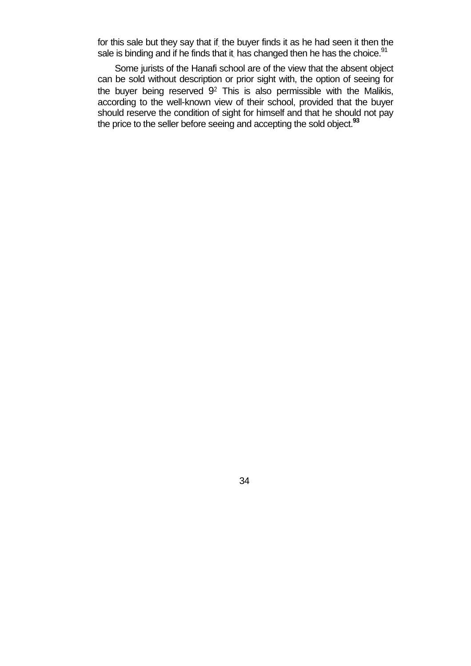for this sale but they say that if. the buyer finds it as he had seen it then the sale is binding and if he finds that it has changed then he has the choice.<sup>91</sup>

Some jurists of the Hanafi school are of the view that the absent object can be sold without description or prior sight with, the option of seeing for the buyer being reserved  $9<sup>2</sup>$  This is also permissible with the Malikis, according to the well-known view of their school, provided that the buyer should reserve the condition of sight for himself and that he should not pay the price to the seller before seeing and accepting the sold object.**<sup>93</sup>**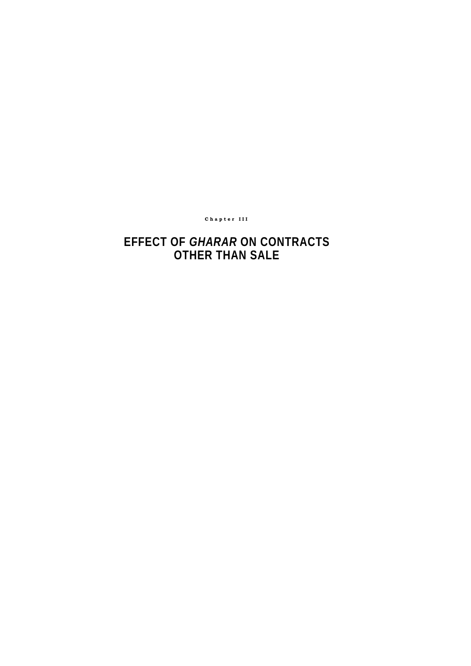#### **Chapter III**

## **EFFECT OF** *GHARAR* **ON CONTRACTS OTHER THAN SALE**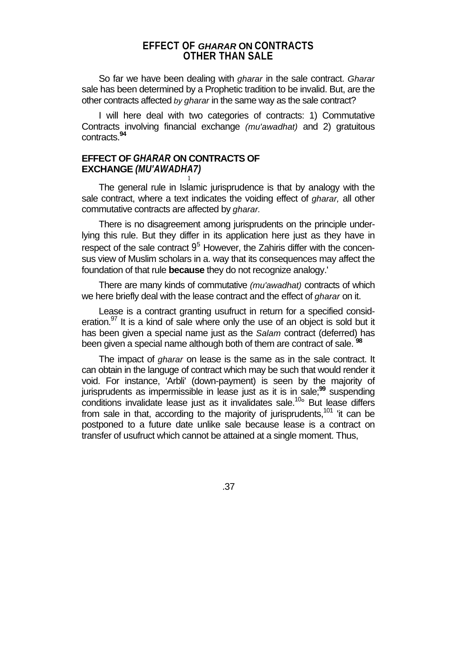#### **EFFECT OF** *GHARAR* **ON CONTRACTS OTHER THAN SALE**

So far we have been dealing with *gharar* in the sale contract. *Gharar*  sale has been determined by a Prophetic tradition to be invalid. But, are the other contracts affected *by gharar* in the same way as the sale contract?

I will here deal with two categories of contracts: 1) Commutative Contracts involving financial exchange *(mu'awadhat)* and 2) gratuitous contracts.**<sup>94</sup>**

#### **EFFECT OF** *GHARAR* **ON CONTRACTS OF EXCHANGE** *(MU'AWADHA7)*

1

The general rule in Islamic jurisprudence is that by analogy with the sale contract, where a text indicates the voiding effect of *gharar,* all other commutative contracts are affected by *gharar.* 

There is no disagreement among jurisprudents on the principle underlying this rule. But they differ in its application here just as they have in respect of the sale contract  $9<sup>5</sup>$  However, the Zahiris differ with the concensus view of Muslim scholars in a. way that its consequences may affect the foundation of that rule **because** they do not recognize analogy.'

There are many kinds of commutative *(mu'awadhat)* contracts of which we here briefly deal with the lease contract and the effect of *gharar* on it.

Lease is a contract granting usufruct in return for a specified consideration. $97$  It is a kind of sale where only the use of an object is sold but it has been given a special name just as the *Salam* contract (deferred) has been given a special name although both of them are contract of sale. **<sup>98</sup>**

The impact of *gharar* on lease is the same as in the sale contract. It can obtain in the languge of contract which may be such that would render it void. For instance, 'Arbli' (down-payment) is seen by the majority of jurisprudents as impermissible in lease just as it is in sale;**<sup>99</sup>** suspending conditions invalidate lease just as it invalidates sale.<sup>10°</sup> But lease differs from sale in that, according to the majority of jurisprudents,<sup>101</sup> 'it can be postponed to a future date unlike sale because lease is a contract on transfer of usufruct which cannot be attained at a single moment. Thus,

.37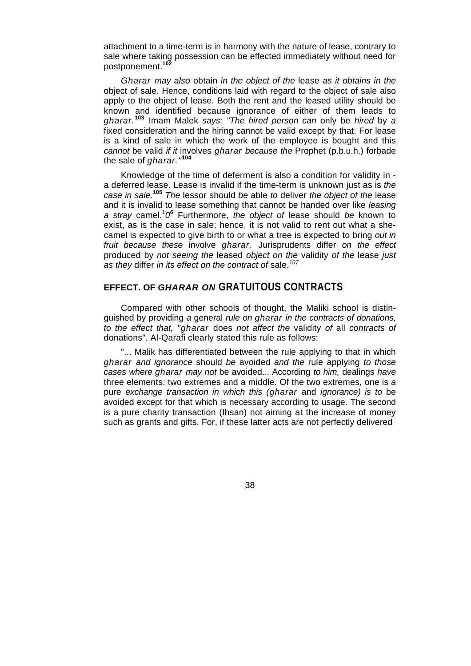attachment to a time-term is in harmony with the nature of lease, contrary to sale where taking possession can be effected immediately without need for postponement.**<sup>102</sup>**

*Gharar may also* obtain *in the object of the* lease *as it obtains in the*  object of sale. Hence, conditions laid with regard to the object of sale also apply to the object of lease. Both the rent and the leased utility should be known and identified because ignorance of either of them leads to *gharar.***<sup>103</sup>** Imam Malek *says: "The hired person can* only be *hired* by *a*  fixed consideration and the hiring cannot be valid except by that. For lease is a kind of sale in which the work of the employee is bought and this *cannot* be valid *if it* involves *gharar because the* Prophet (p.b.u.h.) forbade the sale of *gharar."***<sup>104</sup>**

Knowledge of the time of deferment is also a condition for validity in a deferred lease. Lease is invalid if the time-term is unknown just as is *the case in sale.***<sup>105</sup>** *The* lessor should *be* able *to* deliver *the object of the* lease and it is invalid to lease something that cannot be handed over like *leasing*  a stray camel.<sup>1</sup>0<sup>6</sup> Furthermore, the object of lease should be known to exist, as is the case in sale; hence, it is not valid to rent out what a shecamel is expected to give birth to or what a tree is expected to bring *out in fruit because these* involve *gharar.* Jurisprudents differ *on the effect*  produced by *not seeing the* leased *object on the* validity *of the* lease *just as they* differ *in its effect on the contract of* sale.*<sup>107</sup>*

#### **EFFECT. OF** *GHARAR ON* **GRATUITOUS CONTRACTS**

Compared with other schools of thought, the Maliki school is distinguished by providing *a* general *rule on gharar in the contracts of donations, to the effect that, "gharar* does *not affect the* validity *of* all *contracts of*  donations". Al-Qarafi clearly stated this rule as follows:

"... Malik has differentiated between the rule applying to that in which *gharar and ignorance* should *be* avoided *and the* rule applying *to those cases where gharar may not* be avoided... According *to him,* dealings *have*  three elements: two extremes and a middle. Of the two extremes, one is *a*  pure *exchange transaction in which this (gharar* and *ignorance) is to* be avoided except for that which is necessary according to usage. The second is a pure charity transaction (Ihsan) not aiming at the increase of money such as grants and gifts. For, if these latter acts are not perfectly delivered

.38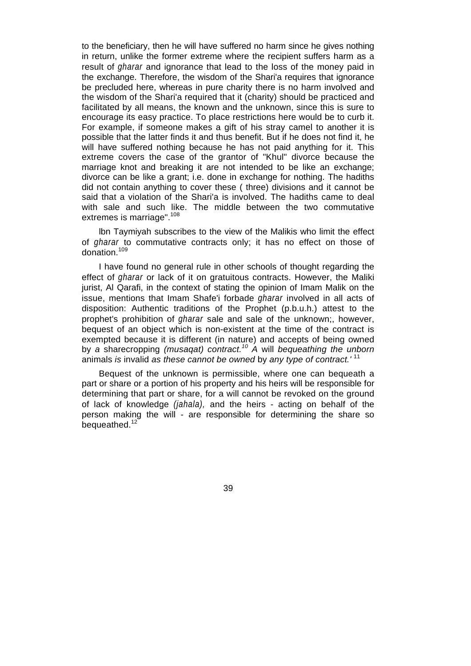to the beneficiary, then he will have suffered no harm since he gives nothing in return, unlike the former extreme where the recipient suffers harm as a result of *gharar* and ignorance that lead to the loss of the money paid in the exchange. Therefore, the wisdom of the Shari'a requires that ignorance be precluded here, whereas in pure charity there is no harm involved and the wisdom of the Shari'a required that it (charity) should be practiced and facilitated by all means, the known and the unknown, since this is sure to encourage its easy practice. To place restrictions here would be to curb it. For example, if someone makes a gift of his stray camel to another it is possible that the latter finds it and thus benefit. But if he does not find it, he will have suffered nothing because he has not paid anything for it. This extreme covers the case of the grantor of "Khul" divorce because the marriage knot and breaking it are not intended to be like an exchange; divorce can be like a grant; i.e. done in exchange for nothing. The hadiths did not contain anything to cover these ( three) divisions and it cannot be said that a violation of the Shari'a is involved. The hadiths came to deal with sale and such like. The middle between the two commutative extremes is marriage".<sup>108</sup>

lbn Taymiyah subscribes to the view of the Malikis who limit the effect of *gharar* to commutative contracts only; it has no effect on those of donation.<sup>109</sup>

I have found no general rule in other schools of thought regarding the effect of *gharar* or lack of it on gratuitous contracts. However, the Maliki jurist, Al Qarafi, in the context of stating the opinion of Imam Malik on the issue, mentions that Imam Shafe'i forbade *gharar* involved in all acts of disposition: Authentic traditions of the Prophet (p.b.u.h.) attest to the prophet's prohibition of *gharar* sale and sale of the unknown;, however, bequest of an object which is non-existent at the time of the contract is exempted because it is different (in nature) and accepts of being owned by *a* sharecropping *(musaqat) contract.10 A* will *bequeathing the unborn*  animals *is* invalid *as these cannot be owned* by *any type of contract.'* <sup>11</sup>

Bequest of the unknown is permissible, where one can bequeath a part or share or a portion of his property and his heirs will be responsible for determining that part or share, for a will cannot be revoked on the ground of lack of knowledge *(jahala),* and the heirs - acting on behalf of the person making the will - are responsible for determining the share so bequeathed.<sup>12</sup>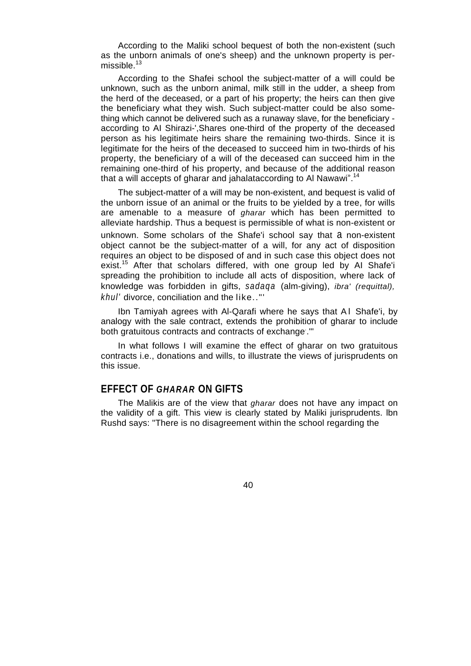According to the Maliki school bequest of both the non-existent (such as the unborn animals of one's sheep) and the unknown property is permissible. $13$ 

According to the Shafei school the subject-matter of a will could be unknown, such as the unborn animal, milk still in the udder, a sheep from the herd of the deceased, or a part of his property; the heirs can then give the beneficiary what they wish. Such subject-matter could be also something which cannot be delivered such as a runaway slave, for the beneficiary according to AI Shirazi-',Shares one-third of the property of the deceased person as his legitimate heirs share the remaining two-thirds. Since it is legitimate for the heirs of the deceased to succeed him in two-thirds of his property, the beneficiary of a will of the deceased can succeed him in the remaining one-third of his property, and because of the additional reason that a will accepts of gharar and jahalataccording to Al Nawawi".<sup>14</sup>

The subject-matter of a will may be non-existent, and bequest is valid of the unborn issue of an animal or the fruits to be yielded by a tree, for wills are amenable to a measure of *gharar* which has been permitted to alleviate hardship. Thus a bequest is permissible of what is non-existent or unknown. Some scholars of the Shafe'i school say that a non-existent object cannot be the subject-matter of a will, for any act of disposition requires an object to be disposed of and in such case this object does not exist.<sup>15</sup> After that scholars differed, with one group led by AI Shafe'i spreading the prohibition to include all acts of disposition, where lack of knowledge was forbidden in gifts, *sadaqa* (alm-giving), *ibra' (requittal), khul'* divorce, conciliation and the like.."'

Ibn Tamiyah agrees with Al-Qarafi where he says that AI Shafe'i, by analogy with the sale contract, extends the prohibition of gharar to include both gratuitous contracts and contracts of exchange. ."'

In what follows I will examine the effect of gharar on two gratuitous contracts i.e., donations and wills, to illustrate the views of jurisprudents on this issue.

# **EFFECT OF** *GHARAR* **ON GIFTS**

The Malikis are of the view that *gharar* does not have any impact on the validity of a gift. This view is clearly stated by Maliki jurisprudents. lbn Rushd says: "There is no disagreement within the school regarding the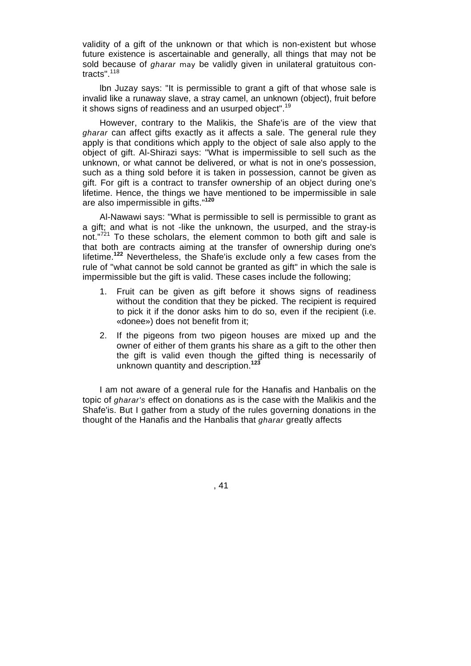validity of a gift of the unknown or that which is non-existent but whose future existence is ascertainable and generally, all things that may not be sold because of *gharar may* be validly given in unilateral gratuitous contracts".<sup>118</sup>

lbn Juzay says: "It is permissible to grant a gift of that whose sale is invalid like a runaway slave, a stray camel, an unknown (object), fruit before it shows signs of readiness and an usurped object".<sup>19</sup>

However, contrary to the Malikis, the Shafe'is are of the view that *gharar* can affect gifts exactly as it affects a sale. The general rule they apply is that conditions which apply to the object of sale also apply to the object of gift. Al-Shirazi says: "What is impermissible to sell such as the unknown, or what cannot be delivered, or what is not in one's possession, such as a thing sold before it is taken in possession, cannot be given as gift. For gift is a contract to transfer ownership of an object during one's lifetime. Hence, the things we have mentioned to be impermissible in sale are also impermissible in gifts."**<sup>120</sup>**

Al-Nawawi says: "What is permissible to sell is permissible to grant as a gift; and what is not -like the unknown, the usurped, and the stray-is not."<sup>721</sup> To these scholars, the element common to both gift and sale is that both are contracts aiming at the transfer of ownership during one's Iifetime.**<sup>122</sup>** Nevertheless, the Shafe'is exclude only a few cases from the rule of "what cannot be sold cannot be granted as gift" in which the sale is impermissible but the gift is valid. These cases include the following;

- 1. Fruit can be given as gift before it shows signs of readiness without the condition that they be picked. The recipient is required to pick it if the donor asks him to do so, even if the recipient (i.e. «donee») does not benefit from it;
- 2. If the pigeons from two pigeon houses are mixed up and the owner of either of them grants his share as a gift to the other then the gift is valid even though the gifted thing is necessarily of unknown quantity and description.**<sup>123</sup>**

I am not aware of a general rule for the Hanafis and Hanbalis on the topic of *gharar's* effect on donations as is the case with the Malikis and the Shafe'is. But I gather from a study of the rules governing donations in the thought of the Hanafis and the Hanbalis that *gharar* greatly affects

, 41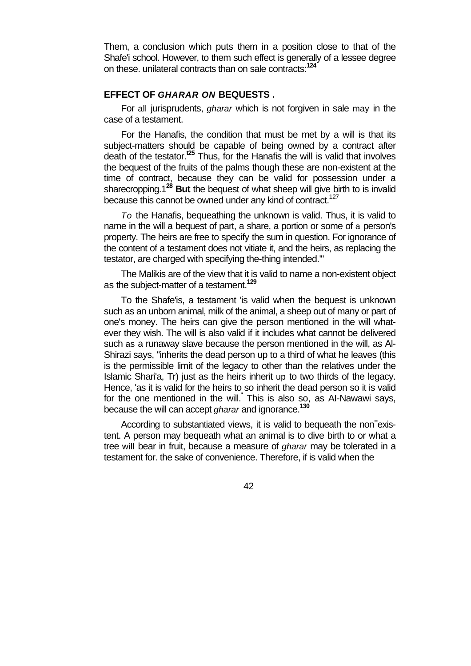Them, a conclusion which puts them in a position close to that of the Shafe'i school. However, to them such effect is generally of a lessee degree on these. unilateral contracts than on sale contracts:**<sup>124</sup>**

# **EFFECT OF** *GHARAR ON* **BEQUESTS .**

For all jurisprudents, *gharar* which is not forgiven in sale may in the case of a testament.

For the Hanafis, the condition that must be met by a will is that its subject-matters should be capable of being owned by a contract after death of the testator.**t25** Thus, for the Hanafis the will is valid that involves the bequest of the fruits of the palms though these are non-existent at the time of contract, because they can be valid for possession under a sharecropping.1**<sup>28</sup> But** the bequest of what sheep will give birth to is invalid because this cannot be owned under any kind of contract.<sup>127</sup>

*To* the Hanafis, bequeathing the unknown is valid. Thus, it is valid to name in the will a bequest of part, a share, a portion or some of a person's property. The heirs are free to specify the sum in question. For ignorance of the content of a testament does not vitiate it, and the heirs, as replacing the testator, are charged with specifying the-thing intended.'"

The Malikis are of the view that it is valid to name a non-existent object as the subject-matter of a testament.**<sup>129</sup>**

To the Shafe'is, a testament 'is valid when the bequest is unknown such as an unborn animal, milk of the animal, a sheep out of many or part of one's money. The heirs can give the person mentioned in the will whatever they wish. The will is also valid if it includes what cannot be delivered such as a runaway slave because the person mentioned in the will, as Al-Shirazi says, "inherits the dead person up to a third of what he leaves (this is the permissible limit of the legacy to other than the relatives under the Islamic Shari'a, Tr) just as the heirs inherit up to two thirds of the legacy. Hence, 'as it is valid for the heirs to so inherit the dead person so it is valid for the one mentioned in the will." This is also so, as AI-Nawawi says, because the will can accept *gharar* and ignorance.**<sup>130</sup>**

According to substantiated views, it is valid to bequeath the non<sup>-</sup>existent. A person may bequeath what an animal is to dive birth to or what a tree will bear in fruit, because a measure of *gharar* may be tolerated in a testament for. the sake of convenience. Therefore, if is valid when the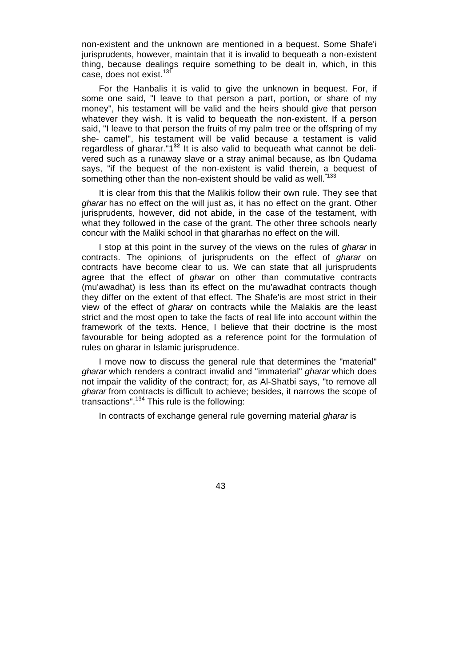non-existent and the unknown are mentioned in a bequest. Some Shafe'i jurisprudents, however, maintain that it is invalid to bequeath a non-existent thing, because dealings require something to be dealt in, which, in this case, does not exist.<sup>131</sup>

For the Hanbalis it is valid to give the unknown in bequest. For, if some one said, "I leave to that person a part, portion, or share of my money", his testament will be valid and the heirs should give that person whatever they wish. It is valid to bequeath the non-existent. If a person said, "I leave to that person the fruits of my palm tree or the offspring of my she- camel", his testament will be valid because a testament is valid regardless of gharar."1**<sup>32</sup>** It is also valid to bequeath what cannot be delivered such as a runaway slave or a stray animal because, as Ibn Qudama says, "if the bequest of the non-existent is valid therein, a bequest of something other than the non-existent should be valid as well.<sup>"133</sup>

It is clear from this that the Malikis follow their own rule. They see that *gharar* has no effect on the will just as, it has no effect on the grant. Other jurisprudents, however, did not abide, in the case of the testament, with what they followed in the case of the grant. The other three schools nearly concur with the Maliki school in that ghararhas no effect on the will.

I stop at this point in the survey of the views on the rules of *gharar* in contracts. The opinions, of jurisprudents on the effect of *gharar* on contracts have become clear to us. We can state that all jurisprudents agree that the effect of *gharar* on other than commutative contracts (mu'awadhat) is less than its effect on the mu'awadhat contracts though they differ on the extent of that effect. The Shafe'is are most strict in their view of the effect of *gharar* on contracts while the Malakis are the least strict and the most open to take the facts of real life into account within the framework of the texts. Hence, I believe that their doctrine is the most favourable for being adopted as a reference point for the formulation of rules on gharar in Islamic jurisprudence.

I move now to discuss the general rule that determines the "material" *gharar* which renders a contract invalid and "immaterial" *gharar* which does not impair the validity of the contract; for, as Al-Shatbi says, "to remove all *gharar* from contracts is difficult to achieve; besides, it narrows the scope of  $t$ ransactions".<sup>134</sup> This rule is the following:

In contracts of exchange general rule governing material *gharar* is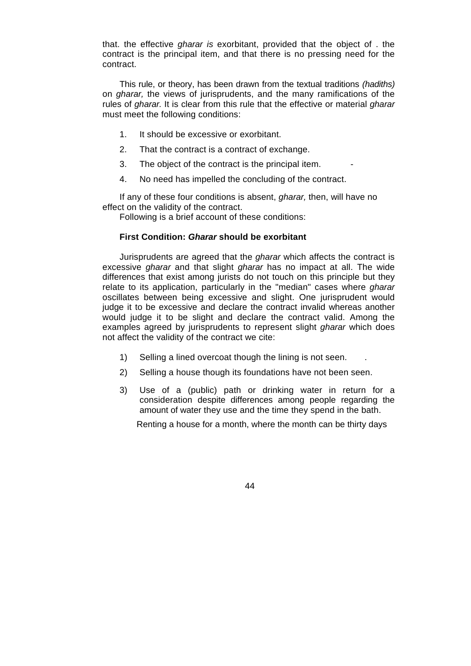that. the effective *gharar is* exorbitant, provided that the object of . the contract is the principal item, and that there is no pressing need for the contract.

This rule, or theory, has been drawn from the textual traditions *(hadiths)*  on *gharar,* the views of jurisprudents, and the many ramifications of the rules of *gharar.* It is clear from this rule that the effective or material *gharar*  must meet the following conditions:

- 1. It should be excessive or exorbitant.
- 2. That the contract is a contract of exchange.
- 3. The object of the contract is the principal item.
- 4. No need has impelled the concluding of the contract.

If any of these four conditions is absent, *gharar,* then, will have no effect on the validity of the contract.

Following is a brief account of these conditions:

### **First Condition:** *Gharar* **should be exorbitant**

Jurisprudents are agreed that the *gharar* which affects the contract is excessive *gharar* and that slight *gharar* has no impact at all. The wide differences that exist among jurists do not touch on this principle but they relate to its application, particularly in the "median" cases where *gharar*  oscillates between being excessive and slight. One jurisprudent would judge it to be excessive and declare the contract invalid whereas another would judge it to be slight and declare the contract valid. Among the examples agreed by jurisprudents to represent slight *gharar* which does not affect the validity of the contract we cite:

- 1) Selling a lined overcoat though the lining is not seen.
- 2) Selling a house though its foundations have not been seen.
- 3) Use of a (public) path or drinking water in return for a consideration despite differences among people regarding the amount of water they use and the time they spend in the bath.

Renting a house for a month, where the month can be thirty days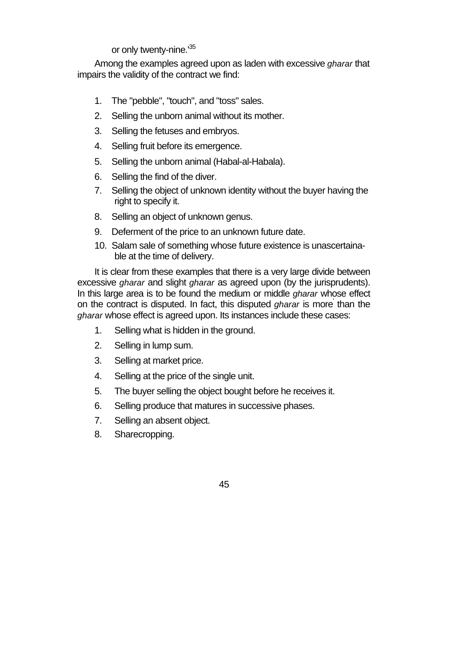or only twenty-nine.<sup>135</sup>

Among the examples agreed upon as laden with excessive *gharar* that impairs the validity of the contract we find:

- 1. The "pebble", "touch", and "toss" sales.
- 2. Selling the unborn animal without its mother.
- 3. Selling the fetuses and embryos.
- 4. Selling fruit before its emergence.
- 5. Selling the unborn animal (Habal-al-Habala).
- 6. Selling the find of the diver.
- 7. Selling the object of unknown identity without the buyer having the right to specify it.
- 8. Selling an object of unknown genus.
- 9. Deferment of the price to an unknown future date.
- 10. Salam sale of something whose future existence is unascertainable at the time of delivery.

It is clear from these examples that there is a very large divide between excessive *gharar* and slight *gharar* as agreed upon (by the jurisprudents). In this large area is to be found the medium or middle *gharar* whose effect on the contract is disputed. In fact, this disputed *gharar* is more' than the *gharar* whose effect is agreed upon. Its instances include these cases:

- 1. Selling what is hidden in the ground.
- 2. Selling in lump sum.
- 3. Selling at market price.
- 4. Selling at the price of the single unit.
- 5. The buyer selling the object bought before he receives it.
- 6. Selling produce that matures in successive phases.
- 7. Selling an absent object.
- 8. Sharecropping.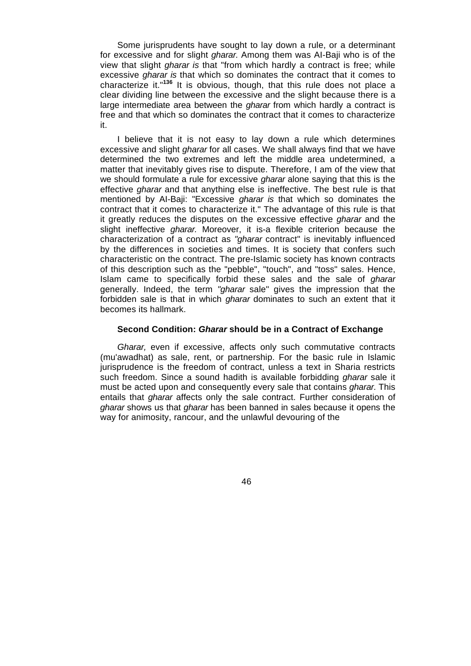Some jurisprudents have sought to lay down a rule, or a determinant for excessive and for slight *gharar.* Among them was AI-Baji who is of the view that slight *gharar is* that "from which hardly a contract is free; while excessive *gharar is* that which so dominates the contract that it comes to characterize it."**<sup>136</sup>** It is obvious, though, that this rule does not place a clear dividing line between the excessive and the slight because there is a large intermediate area between the *gharar* from which hardly a contract is free and that which so dominates the contract that it comes to characterize it.

I believe that it is not easy to lay down a rule which determines excessive and slight *gharar* for all cases. We shall always find that we have determined the two extremes and left the middle area undetermined, a matter that inevitably gives rise to dispute. Therefore, I am of the view that we should formulate a rule for excessive *gharar* alone saying that this is the effective *gharar* and that anything else is ineffective. The best rule is that mentioned by AI-Baji: "Excessive *gharar is* that which so dominates the contract that it comes to characterize it." The advantage of this rule is that it greatly reduces the disputes on the excessive effective *gharar* and the slight ineffective *gharar.* Moreover, it is-a flexible criterion because the characterization of a contract as *"gharar* contract" is inevitably influenced by the differences in societies and times. It is society that confers such characteristic on the contract. The pre-Islamic society has known contracts of this description such as the "pebble", "touch", and "toss" sales. Hence, Islam came to specifically forbid these sales and the sale of *gharar*  generally. Indeed, the term *"gharar* sale" gives the impression that the forbidden sale is that in which *gharar* dominates to such an extent that it becomes its hallmark.

### **Second Condition:** *Gharar* **should be in a Contract of Exchange**

*Gharar,* even if excessive, affects only such commutative contracts (mu'awadhat) as sale, rent, or partnership. For the basic rule in Islamic jurisprudence is the freedom of contract, unless a text in Sharia restricts such freedom. Since a sound hadith is available forbidding *gharar* sale it must be acted upon and consequently every sale that contains *gharar.* This entails that *gharar* affects only the sale contract. Further consideration of *gharar* shows us that *gharar* has been banned in sales because it opens the way for animosity, rancour, and the unlawful devouring of the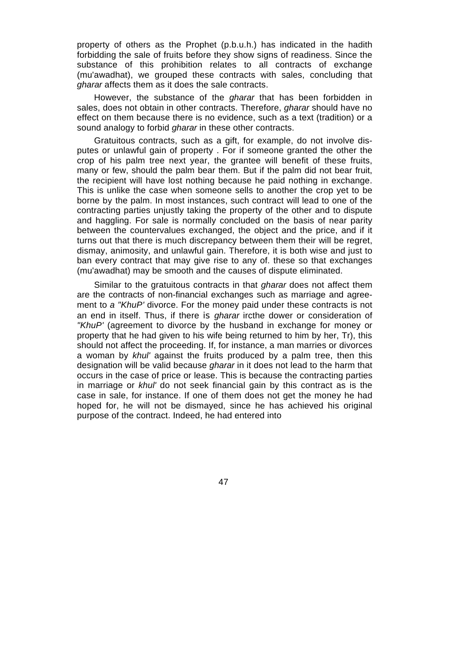property of others as the Prophet (p.b.u.h.) has indicated in the hadith forbidding the sale of fruits before they show signs of readiness. Since the substance of this prohibition relates to all contracts of exchange (mu'awadhat), we grouped these contracts with sales, concluding that *gharar* affects them as it does the sale contracts.

However, the substance of the *gharar* that has been forbidden in sales, does not obtain in other contracts. Therefore, *gharar* should have no effect on them because there is no evidence, such as a text (tradition) or a sound analogy to forbid *gharar* in these other contracts.

Gratuitous contracts, such as a gift, for example, do not involve disputes or unlawful gain of property . For if someone granted the other the crop of his palm tree next year, the grantee will benefit of these fruits, many or few, should the palm bear them. But if the palm did not bear fruit, the recipient will have lost nothing because he paid nothing in exchange. This is unlike the case when someone sells to another the crop yet to be borne by the palm. In most instances, such contract will lead to one of the contracting parties unjustly taking the property of the other and to dispute and haggling. For sale is normally concluded on the basis of near parity between the countervalues exchanged, the object and the price, and if it turns out that there is much discrepancy between them their will be regret, dismay, animosity, and unlawful gain. Therefore, it is both wise and just to ban every contract that may give rise to any of. these so that exchanges (mu'awadhat) may be smooth and the causes of dispute eliminated.

Similar to the gratuitous contracts in that *gharar* does not affect them are the contracts of non-financial exchanges such as marriage and agreement to *a "KhuP'* divorce. For the money paid under these contracts is not an end in itself. Thus, if there is *gharar* ircthe dower or consideration of *"KhuP'* (agreement to divorce by the husband in exchange for money or property that he had given to his wife being returned to him by her, Tr), this should not affect the proceeding. If, for instance, a man marries or divorces a woman by *khul'* against the fruits produced by a palm tree, then this designation will be valid because *gharar* in it does not lead to the harm that occurs in the case of price or lease. This is because the contracting parties in marriage or *khul'* do not seek financial gain by this contract as is the case in sale, for instance. If one of them does not get the money he had hoped for, he will not be dismayed, since he has achieved his original purpose of the contract. Indeed, he had entered into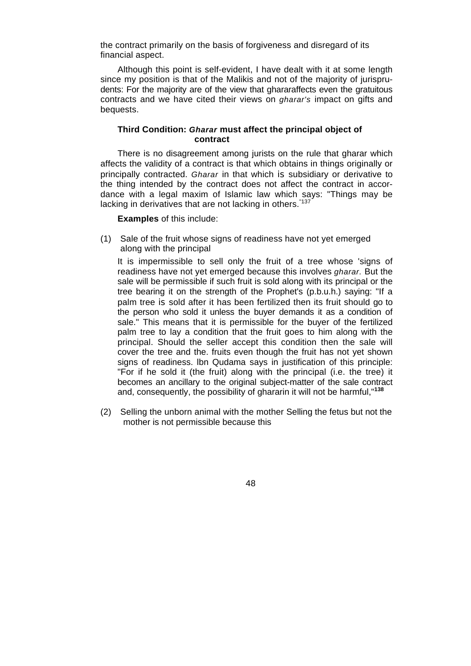the contract primarily on the basis of forgiveness and disregard of its financial aspect.

Although this point is self-evident, I have dealt with it at some length since my position is that of the Malikis and not of the majority of jurisprudents: For the majority are of the view that ghararaffects even the gratuitous contracts and we have cited their views on *gharar's* impact on gifts and bequests.

### **Third Condition:** *Gharar* **must affect the principal object of contract**

There is no disagreement among jurists on the rule that gharar which affects the validity of a contract is that which obtains in things originally or principally contracted. *Gharar* in that which is subsidiary or derivative to the thing intended by the contract does not affect the contract in accordance with a legal maxim of Islamic law which says: "Things may be lacking in derivatives that are not lacking in others.<sup>"137</sup>

**Examples** of this include:

(1) Sale of the fruit whose signs of readiness have not yet emerged along with the principal

It is impermissible to sell only the fruit of a tree whose 'signs of readiness have not yet emerged because this involves *gharar.* But the sale will be permissible if such fruit is sold along with its principal or the tree bearing it on the strength of the Prophet's (p.b.u.h.) saying: "If a palm tree is sold after it has been fertilized then its fruit should go to the person who sold it unless the buyer demands it as a condition of sale." This means that it is permissible for the buyer of the fertilized palm tree to lay a condition that the fruit goes to him along with the principal. Should the seller accept this condition then the sale will cover the tree and the. fruits even though the fruit has not yet shown signs of readiness. lbn Qudama says in justification of this principle: "For if he sold it (the fruit) along with the principal (i.e. the tree) it becomes an ancillary to the original subject-matter of the sale contract and, consequently, the possibility of ghararin it will not be harmful,"**<sup>138</sup>**

(2) Selling the unborn animal with the mother Selling the fetus but not the mother is not permissible because this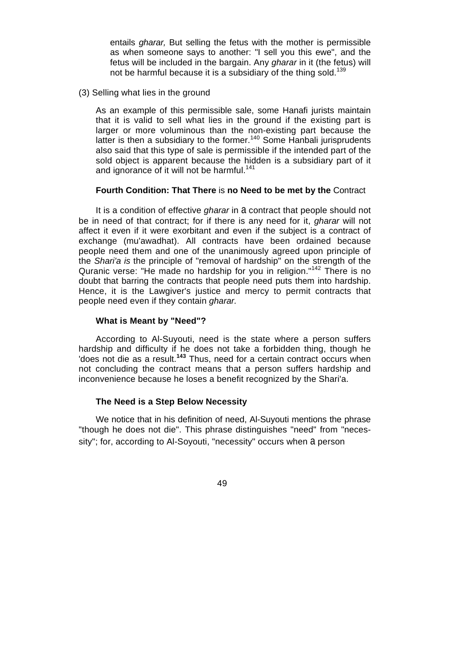entails *gharar,* But selling the fetus with the mother is permissible as when someone says to another: "I sell you this ewe", and the fetus will be included in the bargain. Any *gharar* in it (the fetus) will not be harmful because it is a subsidiary of the thing sold.<sup>139</sup>

(3) Selling what lies in the ground

As an example of this permissible sale, some Hanafi jurists maintain that it is valid to sell what lies in the ground if the existing part is larger or more voluminous than the non-existing part because the latter is then a subsidiary to the former.<sup>140</sup> Some Hanbali jurisprudents also said that this type of sale is permissible if the intended part of the sold object is apparent because the hidden is a subsidiary part of it and ignorance of it will not be harmful.<sup>141</sup>

### **Fourth Condition: That There** is **no Need to be met by the** Contract

It is a condition of effective *gharar* in a contract that people should not be in need of that contract; for if there is any need for it, *gharar* will not affect it even if it were exorbitant and even if the subject is a contract of exchange (mu'awadhat). All contracts have been ordained because people need them and one of the unanimously agreed upon principle of the *Shari'a is* the principle of "removal of hardship" on the strength of the Quranic verse: "He made no hardship for you in religion."142 There is no doubt that barring the contracts that people need puts them into hardship. Hence, it is the Lawgiver's justice and mercy to permit contracts that people need even if they contain *gharar.* 

### **What is Meant by "Need"?**

According to Al-Suyouti, need is the state where a person suffers hardship and difficulty if he does not take a forbidden thing, though he 'does not die as a result.**<sup>143</sup>** Thus, need for a certain contract occurs when not concluding the contract means that a person suffers hardship and inconvenience because he loses a benefit recognized by the Shari'a.

### **The Need is a Step Below Necessity**

We notice that in his definition of need, Al-Suyouti mentions the phrase "though he does not die". This phrase distinguishes "need" from "necessity"; for, according to Al-Soyouti, "necessity" occurs when a person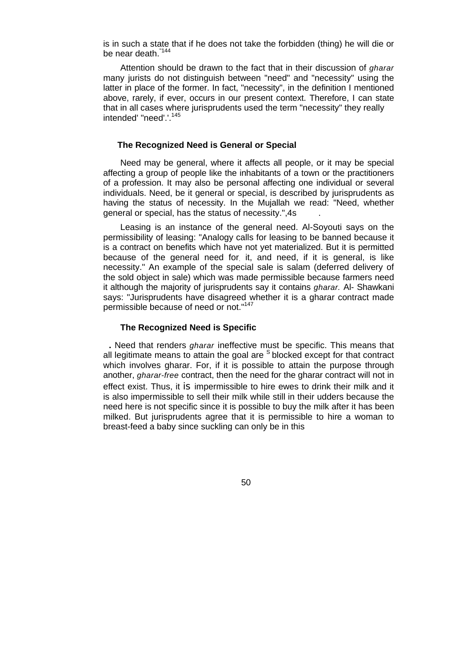is in such a state that if he does not take the forbidden (thing) he will die or be near death.<sup>"144</sup>

Attention should be drawn to the fact that in their discussion of *gharar*  many jurists do not distinguish between "need" and "necessity" using the latter in place of the former. In fact, "necessity", in the definition I mentioned above, rarely, if ever, occurs in our present context. Therefore, I can state that in all cases where jurisprudents used the term "necessity" they really intended' "need'.'.<sup>145</sup>

### **The Recognized Need is General or Special**

Need may be general, where it affects all people, or it may be special affecting a group of people like the inhabitants of a town or the practitioners of a profession. It may also be personal affecting one individual or several individuals. Need, be it general or special, is described by jurisprudents as having the status of necessity. In the Mujallah we read: "Need, whether general or special, has the status of necessity.",4s .

Leasing is an instance of the general need. Al-Soyouti says on the permissibility of leasing: "Analogy calls for leasing to be banned because it is a contract on benefits which have not yet materialized. But it is permitted because of the general need for. it, and need, if it is general, is like necessity." An example of the special sale is salam (deferred delivery of the sold object in sale) which was made permissible because farmers need it although the majority of jurisprudents say it contains *gharar.* Al- Shawkani says: "Jurisprudents have disagreed whether it is a gharar contract made permissible because of need or not."<sup>147</sup>

#### **The Recognized Need is Specific**

**.** Need that renders *gharar* ineffective must be specific. This means that all legitimate means to attain the goal are  $\overline{S}$  blocked except for that contract which involves gharar. For, if it is possible to attain the purpose through another, *gharar-free* contract, then the need for the gharar contract will not in effect exist. Thus, it is impermissible to hire ewes to drink their milk and it is also impermissible to sell their milk while still in their udders because the need here is not specific since it is possible to buy the milk after it has been milked. But jurisprudents agree that it is permissible to hire a woman to breast-feed a baby since suckling can only be in this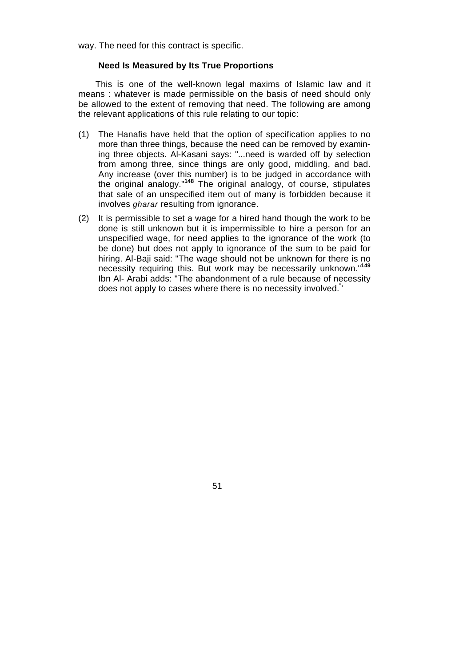way. The need for this contract is specific.

### **Need Is Measured by Its True Proportions**

This is one of the well-known legal maxims of Islamic law and it means : whatever is made permissible on the basis of need should only be allowed to the extent of removing that need. The following are among the relevant applications of this rule relating to our topic:

- (1) The Hanafis have held that the option of specification applies to no more than three things, because the need can be removed by examining three objects. Al-Kasani says: "...need is warded off by selection from among three, since things are only good, middling, and bad. Any increase (over this number) is to be judged in accordance with the original analogy."**<sup>148</sup>** The original analogy, of course, stipulates that sale of an unspecified item out of many is forbidden because it involves *gharar* resulting from ignorance.
- (2) It is permissible to set a wage for a hired hand though the work to be done is still unknown but it is impermissible to hire a person for an unspecified wage, for need applies to the ignorance of the work (to be done) but does not apply to ignorance of the sum to be paid for hiring. Al-Baji said: "The wage should not be unknown for there is no necessity requiring this. But work may be necessarily unknown."**<sup>149</sup>** Ibn Al- Arabi adds: "The abandonment of a rule because of necessity does not apply to cases where there is no necessity involved." '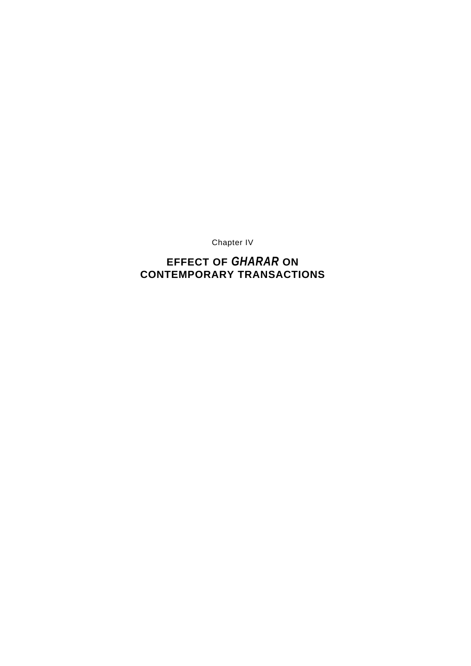Chapter IV

# **EFFECT OF** *GHARAR* **ON CONTEMPORARY TRANSACTIONS**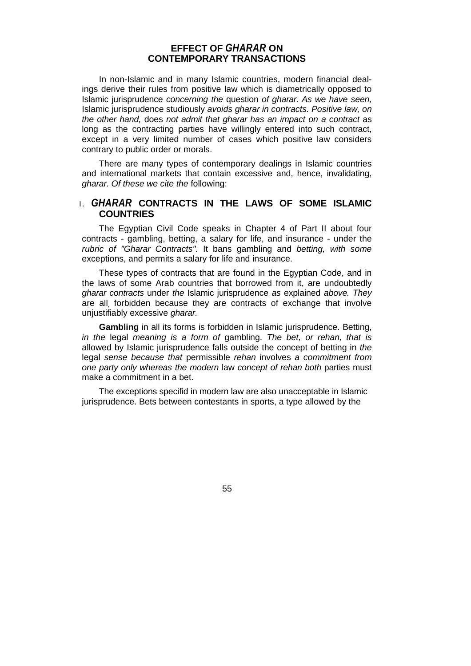# **EFFECT OF** *GHARAR* **ON CONTEMPORARY TRANSACTIONS**

In non-Islamic and in many Islamic countries, modern financial dealings derive their rules from positive law which is diametrically opposed to Islamic jurisprudence *concerning the* question *of gharar. As we have seen,*  Islamic jurisprudence studiously *avoids gharar in contracts. Positive law, on the other hand,* does *not admit that gharar has an impact on a contract* as long as the contracting parties have willingly entered into such contract, except in a very limited number of cases which positive law considers contrary to public order or morals.

There are many types of contemporary dealings in Islamic countries and international markets that contain excessive and, hence, invalidating, *gharar. Of these we cite the* following:

# I. *GHARAR* **CONTRACTS IN THE LAWS OF SOME ISLAMIC COUNTRIES**

The Egyptian Civil Code speaks in Chapter 4 of Part II about four contracts - gambling, betting, a salary for life, and insurance - under the *rubric of "Gharar Contracts".* It bans gambling and *betting, with some*  exceptions, and permits a salary for life and insurance.

These types of contracts that are found in the Egyptian Code, and in the laws of some Arab countries that borrowed from it, are undoubtedly *gharar contracts* under *the* Islamic jurisprudence *as* explained *above. They*  are all, forbidden because they are contracts of exchange that involve unjustifiably excessive *gharar.* 

**Gambling** in all its forms is forbidden in Islamic jurisprudence. Betting, *in the* legal *meaning is a form of* gambling. *The bet, or rehan, that is*  allowed by Islamic jurisprudence falls outside the concept of betting in *the*  legal *sense because that* permissible *rehan* involves *a commitment from one party only whereas the modern* law *concept of rehan both* parties must make a commitment in a bet.

The exceptions specifid in modern law are also unacceptable in Islamic jurisprudence. Bets between contestants in sports, a type allowed by the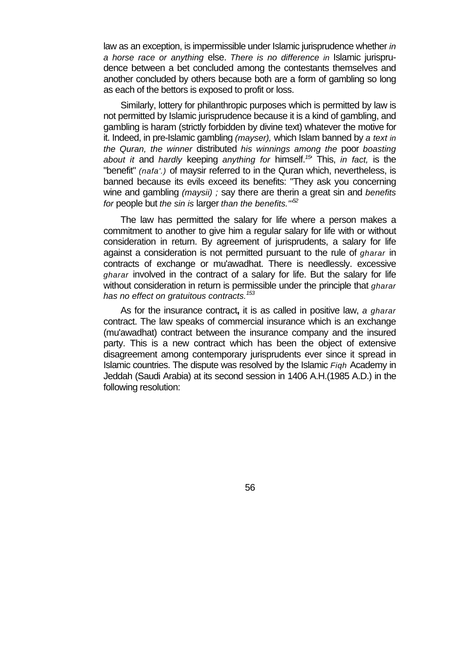law as an exception, is impermissible under Islamic jurisprudence whether *in a horse race or anything* else. *There is no difference in* Islamic jurisprudence between a bet concluded among the contestants themselves and another concluded by others because both are a form of gambling so long as each of the bettors is exposed to profit or loss.

Similarly, lottery for philanthropic purposes which is permitted by law is not permitted by Islamic jurisprudence because it is a kind of gambling, and gambling is haram (strictly forbidden by divine text) whatever the motive for it. Indeed, in pre-Islamic gambling *(mayser),* which Islam banned by *a text in the Quran, the winner* distributed *his winnings among the* poor *boasting about it* and *hardly* keeping *anything for* himself.*<sup>15</sup>*' This, *in fact,* is the "benefit" *(nafa'.)* of maysir referred to in the Quran which, nevertheless, is banned because its evils exceed its benefits: "They ask you concerning wine and gambling *(maysii) ;* say there are therin a great sin and *benefits for* people but *the sin is* larger *than the benefits."'52*

The law has permitted the salary for life where a person makes a commitment to another to give him a regular salary for life with or without consideration in return. By agreement of jurisprudents, a salary for life against a consideration is not permitted pursuant to the rule of *gharar* in contracts of exchange or mu'awadhat. There is needlessly. excessive *gharar* involved in the contract of a salary for life. But the salary for life without consideration in return is permissible under the principle that *gharar has no effect on gratuitous contracts.<sup>153</sup>*

As for the insurance contract**,** it is as called in positive law, *a gharar*  contract. The law speaks of commercial insurance which is an exchange (mu'awadhat) contract between the insurance company and the insured party. This is a new contract which has been the object of extensive disagreement among contemporary jurisprudents ever since it spread in Islamic countries. The dispute was resolved by the Islamic *Fiqh* Academy in Jeddah (Saudi Arabia) at its second session in 1406 A.H.(1985 A.D.) in the following resolution: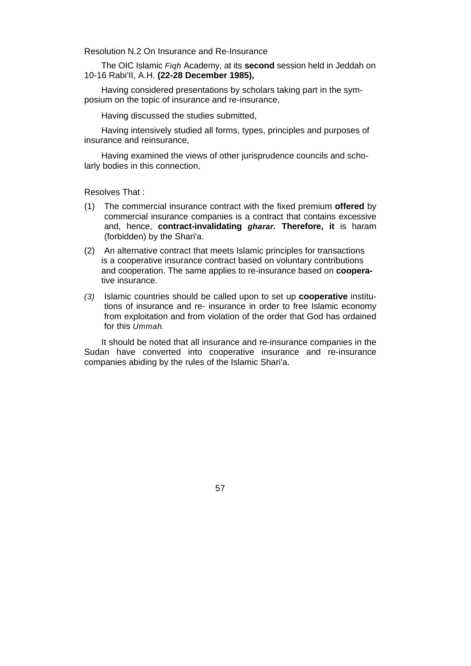Resolution N.2 On Insurance and Re-Insurance

The OIC Islamic *Fiqh* Academy, at its **second** session held in Jeddah on 10-16 Rabi'II, A.H. **(22-28 December 1985),** 

Having considered presentations by scholars taking part in the symposium on the topic of insurance and re-insurance,

Having discussed the studies submitted,

Having intensively studied all forms, types, principles and purposes of insurance and reinsurance,

Having examined the views of other jurisprudence councils and scholarly bodies in this connection,

Resolves That :

- (1) The commercial insurance contract with the fixed premium **offered** by commercial insurance companies is a contract that contains excessive and, hence, **contract-invalidating** *gharar.* **Therefore, it** is haram (forbidden) by the Shari'a.
- (2) An alternative contract that meets Islamic principles for transactions is a cooperative insurance contract based on voluntary contributions and cooperation. The same applies to re-insurance based on **coopera**tive insurance.
- *(3)* Islamic countries should be called upon to set up **cooperative** institutions of insurance and re- insurance in order to free Islamic economy from exploitation and from violation of the order that God has ordained for this *Ummah.*

It should be noted that all insurance and re-insurance companies in the Sudan have converted into cooperative insurance and re-insurance companies abiding by the rules of the Islamic Shari'a.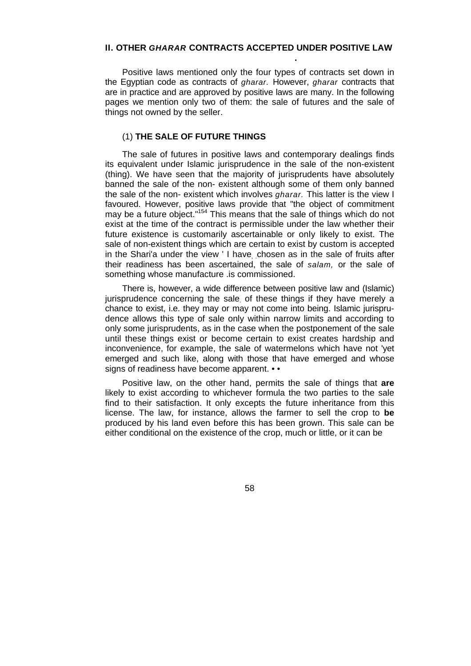# **II. OTHER** *GHARAR* **CONTRACTS ACCEPTED UNDER POSITIVE LAW**

Positive laws mentioned only the four types of contracts set down in the Egyptian code as contracts of *gharar.* However, *gharar* contracts that are in practice and are approved by positive laws are many. In the following pages we mention only two of them: the sale of futures and the sale of things not owned by the seller.

### (1) **THE SALE OF FUTURE THINGS**

 **.** 

The sale of futures in positive laws and contemporary dealings finds its equivalent under Islamic jurisprudence in the sale of the non-existent (thing). We have seen that the majority of jurisprudents have absolutely banned the sale of the non- existent although some of them only banned the sale of the non- existent which involves *gharar.* This latter is the view I favoured. However, positive laws provide that "the object of commitment may be a future object."<sup>154</sup> This means that the sale of things which do not exist at the time of the contract is permissible under the law whether their future existence is customarily ascertainable or only likely to exist. The sale of non-existent things which are certain to exist by custom is accepted in the Shari'a under the view ' I have, chosen as in the sale of fruits after their readiness has been ascertained, the sale of *salam,* or the sale of something whose manufacture .is commissioned.

There is, however, a wide difference between positive law and (Islamic) jurisprudence concerning the sale of these things if they have merely a chance to exist, i.e. they may or may not come into being. Islamic jurisprudence allows this type of sale only within narrow limits and according to only some jurisprudents, as in the case when the postponement of the sale until these things exist or become certain to exist creates hardship and inconvenience, for example, the sale of watermelons which have not 'yet emerged and such like, along with those that have emerged and whose signs of readiness have become apparent. • •

Positive law, on the other hand, permits the sale of things that **are**  likely to exist according to whichever formula the two parties to the sale find to their satisfaction. It only excepts the future inheritance from this license. The law, for instance, allows the farmer to sell the crop to **be**  produced by his land even before this has been grown. This sale can be either conditional on the existence of the crop, much or little, or it can be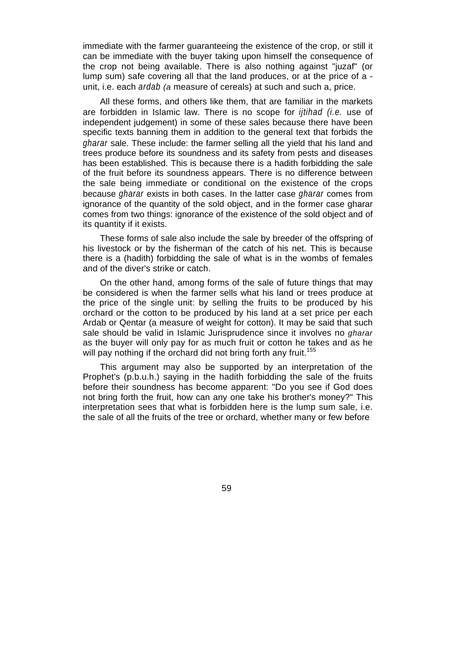immediate with the farmer guaranteeing the existence of the crop, or still it can be immediate with the buyer taking upon himself the consequence of the crop not being available. There is also nothing against "juzaf" (or lump sum) safe covering all that the land produces, or at the price of a unit, i.e. each *ardab (a* measure of cereals) at such and such a, price.

All these forms, and others like them, that are familiar in the markets are forbidden in Islamic law. There is no scope for *ijtihad (i.e.* use of independent judgement) in some of these sales because there have been specific texts banning them in addition to the general text that forbids the *gharar* sale. These include: the farmer selling all the yield that his land and trees produce before its soundness and its safety from pests and diseases has been established. This is because there is a hadith forbidding the sale of the fruit before its soundness appears. There is no difference between the sale being immediate or conditional on the existence of the crops because *gharar* exists in both cases. In the latter case *gharar* comes from ignorance of the quantity of the sold object, and in the former case gharar comes from two things: ignorance of the existence of the sold object and of its quantity if it exists.

These forms of sale also include the sale by breeder of the offspring of his livestock or by the fisherman of the catch of his net. This is because there is a (hadith) forbidding the sale of what is in the wombs of females and of the diver's strike or catch.

On the other hand, among forms of the sale of future things that may be considered is when the farmer sells what his land or trees produce at the price of the single unit: by selling the fruits to be produced by his orchard or the cotton to be produced by his land at a set price per each Ardab or Qentar (a measure of weight for cotton). It may be said that such sale should be valid in Islamic Jurisprudence since it involves no *gharar*  as the buyer will only pay for as much fruit or cotton he takes and as he will pay nothing if the orchard did not bring forth any fruit.<sup>155</sup>

This argument may also be supported by an interpretation of the Prophet's (p.b.u.h.) saying in the hadith forbidding the sale of the fruits before their soundness has become apparent: "Do you see if God does not bring forth the fruit, how can any one take his brother's money?" This interpretation sees that what is forbidden here is the lump sum sale, i.e. the sale of all the fruits of the tree or orchard, whether many or few before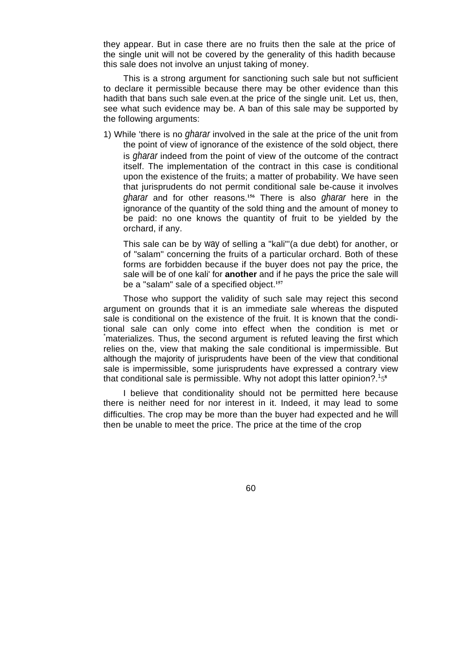they appear. But in case there are no fruits then the sale at the price of the single unit will not be covered by the generality of this hadith because this sale does not involve an unjust taking of money.

This is a strong argument for sanctioning such sale but not sufficient to declare it permissible because there may be other evidence than this hadith that bans such sale even.at the price of the single unit. Let us, then, see what such evidence may be. A ban of this sale may be supported by the following arguments:

1) While 'there is no *gharar* involved in the sale at the price of the unit from the point of view of ignorance of the existence of the sold object, there is *gharar* indeed from the point of view of the outcome of the contract itself. The implementation of the contract in this case is conditional upon the existence of the fruits; a matter of probability. We have seen that jurisprudents do not permit conditional sale be-cause it involves *gharar* and for other reasons.**156** There is also *gharar* here in the ignorance of the quantity of the sold thing and the amount of money to be paid: no one knows the quantity of fruit to be yielded by the orchard, if any.

This sale can be by way of selling a "kali"'(a due debt) for another, or of "salam" concerning the fruits of a particular orchard. Both of these forms are forbidden because if the buyer does not pay the price, the sale will be of one kali' for **another** and if he pays the price the sale will be a "salam" sale of a specified object.**<sup>157</sup>**

Those who support the validity of such sale may reject this second argument on grounds that it is an immediate sale whereas the disputed sale is conditional on the existence of the fruit. It is known that the conditional sale can only come into effect when the condition is met or \* materializes. Thus, the second argument is refuted leaving the first which relies on the, view that making the sale conditional is impermissible. But although the majority of jurisprudents have been of the view that conditional sale is impermissible, some jurisprudents have expressed a contrary view that conditional sale is permissible. Why not adopt this latter opinion?.<sup>1</sup>5<sup>8</sup>

I believe that conditionality should not be permitted here because there is neither need for nor interest in it. Indeed, it may lead to some difficulties. The crop may be more than the buyer had expected and he will then be unable to meet the price. The price at the time of the crop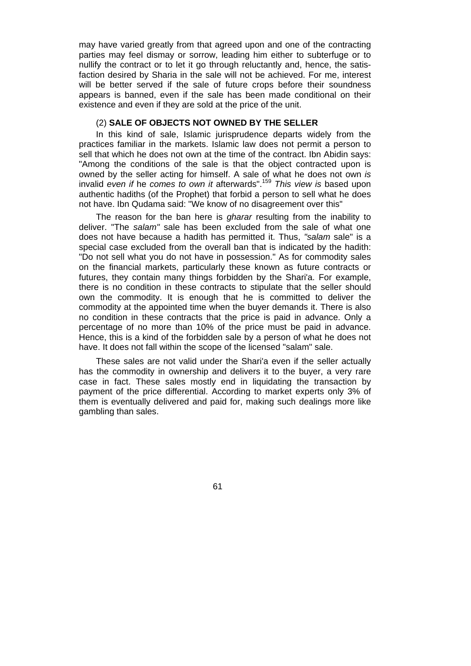may have varied greatly from that agreed upon and one of the contracting parties may feel dismay or sorrow, leading him either to subterfuge or to nullify the contract or to let it go through reluctantly and, hence, the satisfaction desired by Sharia in the sale will not be achieved. For me, interest will be better served if the sale of future crops before their soundness appears is banned, even if the sale has been made conditional on their existence and even if they are sold at the price of the unit.

### (2) **SALE OF OBJECTS NOT OWNED BY THE SELLER**

In this kind of sale, Islamic jurisprudence departs widely from the practices familiar in the markets. Islamic law does not permit a person to sell that which he does not own at the time of the contract. Ibn Abidin says: "Among the conditions of the sale is that the object contracted upon is owned by the seller acting for himself. A sale of what he does not own *is*  invalid *even if* he *comes to own it* afterwards".<sup>159</sup> *This view is* based upon authentic hadiths (of the Prophet) that forbid a person to sell what he does not have. Ibn Qudama said: "We know of no disagreement over this"

The reason for the ban here is *gharar* resulting from the inability to deliver. "The *salam"* sale has been excluded from the sale of what one does not have because a hadith has permitted it. Thus, *"salam* sale" is a special case excluded from the overall ban that is indicated by the hadith: "Do not sell what you do not have in possession." As for commodity sales on the financial markets, particularly these known as future contracts or futures, they contain many things forbidden by the Shari'a. For example, there is no condition in these contracts to stipulate that the seller should own the commodity. It is enough that he is committed to deliver the commodity at the appointed time when the buyer demands it. There is also no condition in these contracts that the price is paid in advance. Only a percentage of no more than 10% of the price must be paid in advance. Hence, this is a kind of the forbidden sale by a person of what he does not have. It does not fall within the scope of the licensed "salam" sale.

These sales are not valid under the Shari'a even if the seller actually has the commodity in ownership and delivers it to the buyer, a very rare case in fact. These sales mostly end in liquidating the transaction by payment of the price differential. According to market experts only 3% of them is eventually delivered and paid for, making such dealings more like gambling than sales.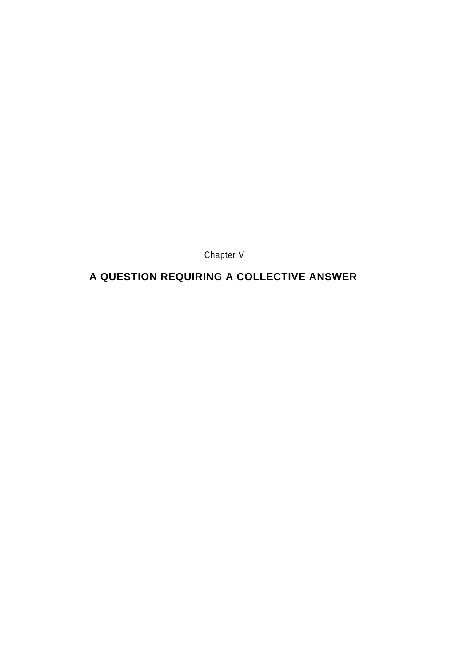Chapter V

# **A QUESTION REQUIRING A COLLECTIVE ANSWER**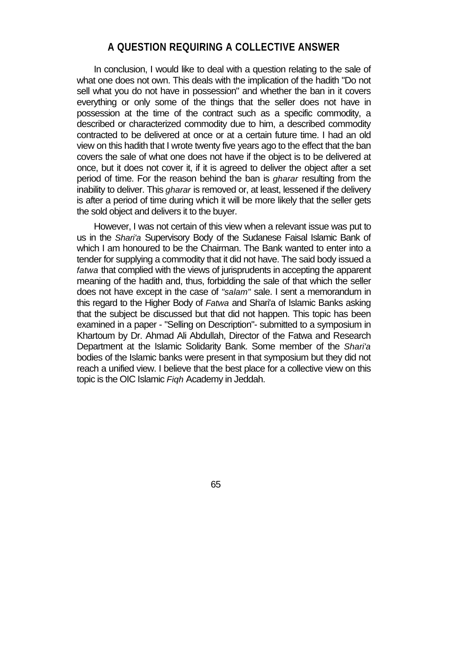# **A QUESTION REQUIRING A COLLECTIVE ANSWER**

In conclusion, I would like to deal with a question relating to the sale of what one does not own. This deals with the implication of the hadith "Do not sell what you do not have in possession" and whether the ban in it covers everything or only some of the things that the seller does not have in possession at the time of the contract such as a specific commodity, a described or characterized commodity due to him, a described commodity contracted to be delivered at once or at a certain future time. I had an old view on this hadith that I wrote twenty five years ago to the effect that the ban covers the sale of what one does not have if the object is to be delivered at once, but it does not cover it, if it is agreed to deliver the object after a set period of time. For the reason behind the ban is *gharar* resulting from the inability to deliver. This *gharar* is removed or, at least, lessened if the delivery is after a period of time during which it will be more likely that the seller gets the sold object and delivers it to the buyer.

However, I was not certain of this view when a relevant issue was put to us in the *Shari'a* Supervisory Body of the Sudanese Faisal Islamic Bank of which I am honoured to be the Chairman. The Bank wanted to enter into a tender for supplying a commodity that it did not have. The said body issued a *fatwa* that complied with the views of jurisprudents in accepting the apparent meaning of the hadith and, thus, forbidding the sale of that which the seller does not have except in the case of *"salam"* sale. I sent a memorandum in this regard to the Higher Body of *Fatwa* and Shari'a of Islamic Banks asking that the subject be discussed but that did not happen. This topic has been examined in a paper - "Selling on Description"- submitted to a symposium in Khartoum by Dr. Ahmad Ali Abdullah, Director of the Fatwa and Research Department at the Islamic Solidarity Bank. Some member of the *Shari'a*  bodies of the Islamic banks were present in that symposium but they did not reach a unified view. I believe that the best place for a collective view on this topic is the OIC Islamic *Fiqh* Academy in Jeddah.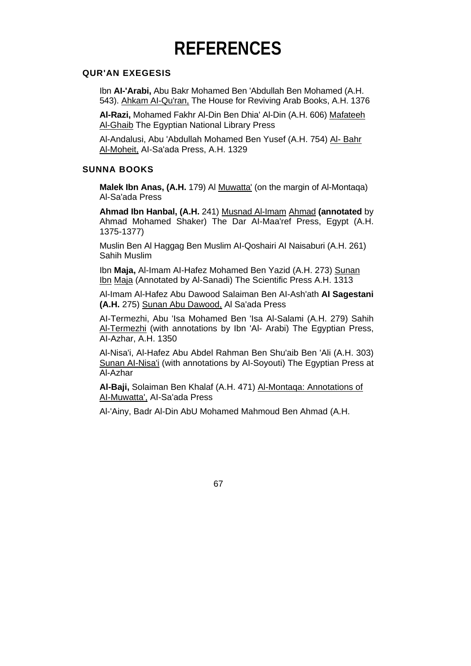# **REFERENCES**

### **QUR'AN EXEGESIS**

Ibn **AI-'Arabi,** Abu Bakr Mohamed Ben 'Abdullah Ben Mohamed (A.H. 543). Ahkam AI-Qu'ran, The House for Reviving Arab Books, A.H. 1376

**Al-Razi,** Mohamed Fakhr Al-Din Ben Dhia' Al-Din (A.H. 606) Mafateeh **Al-Ghaib The Egyptian National Library Press** 

Al-Andalusi, Abu 'Abdullah Mohamed Ben Yusef (A.H. 754) Al- Bahr Al-Moheit, AI-Sa'ada Press, A.H. 1329

# **SUNNA BOOKS**

**Malek Ibn Anas, (A.H.** 179) Al Muwatta' (on the margin of Al-Montaqa) Al-Sa'ada Press

**Ahmad Ibn Hanbal, (A.H.** 241) Musnad Al-Imam Ahmad **(annotated** by Ahmad Mohamed Shaker) The Dar AI-Maa'ref Press, Egypt (A.H. 1375-1377)

Muslin Ben Al Haggag Ben Muslim AI-Qoshairi AI Naisaburi (A.H. 261) Sahih Muslim

Ibn **Maja,** Al-Imam AI-Hafez Mohamed Ben Yazid (A.H. 273) Sunan Ibn Maja (Annotated by Al-Sanadi) The Scientific Press A.H. 1313

Al-Imam Al-Hafez Abu Dawood Salaiman Ben AI-Ash'ath **AI Sagestani (A.H.** 275) Sunan Abu Dawood, Al Sa'ada Press

AI-Termezhi, Abu 'Isa Mohamed Ben 'Isa Al-Salami (A.H. 279) Sahih Al-Termezhi (with annotations by Ibn 'Al- Arabi) The Egyptian Press, AI-Azhar, A.H. 1350

Al-Nisa'i, Al-Hafez Abu Abdel Rahman Ben Shu'aib Ben 'Ali (A.H. 303) Sunan AI-Nisa'i (with annotations by AI-Soyouti) The Egyptian Press at Al-Azhar

**Al-Baji,** Solaiman Ben Khalaf (A.H. 471) Al-Montaqa: Annotations of AI-Muwatta', AI-Sa'ada Press

Al-'Ainy, Badr Al-Din AbU Mohamed Mahmoud Ben Ahmad (A.H.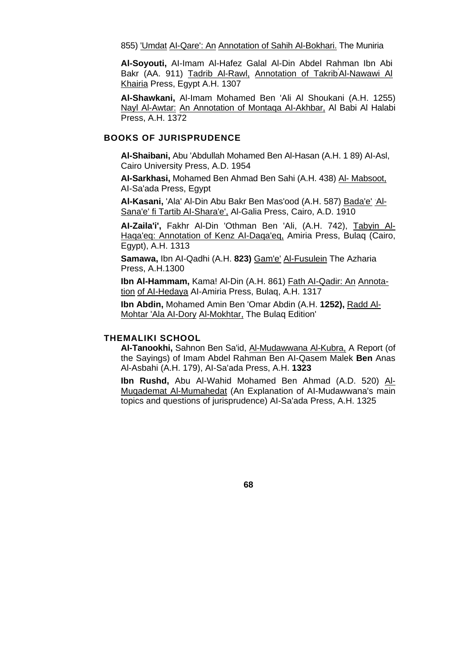855) 'Umdat Al-Qare': An Annotation of Sahih Al-Bokhari. The Muniria

**Al-Soyouti,** AI-Imam Al-Hafez Galal Al-Din Abdel Rahman Ibn Abi Bakr (AA. 911) Tadrib Al-Rawl, Annotation of Takrib Al-Nawawi Al Khairia Press, Egypt A.H. 1307

**Al-Shawkani,** Al-Imam Mohamed Ben 'Ali Al Shoukani (A.H. 1255) Nayl Al-Awtar: An Annotation of Montaqa AI-Akhbar, Al Babi Al Halabi Press, A.H. 1372

### **BOOKS OF JURISPRUDENCE**

**Al-Shaibani,** Abu 'Abdullah Mohamed Ben Al-Hasan (A.H. 1 89) AI-Asl, Cairo University Press, A.D. 1954

**AI-Sarkhasi,** Mohamed Ben Ahmad Ben Sahi (A.H. 438) Al- Mabsoot, AI-Sa'ada Press, Egypt

Al-Kasani, 'Ala' Al-Din Abu Bakr Ben Mas'ood (A.H. 587) Bada'e' Al-Sana'e' fi Tartib AI-Shara'e', Al-Galia Press, Cairo, A.D. 1910

**AI-Zaila'i',** Fakhr Al-Din 'Othman Ben 'Ali, (A.H. 742), Tabyin Al-Haqa'eq: Annotation of Kenz AI-Daqa'eq, Amiria Press, Bulaq (Cairo, Egypt), A.H. 1313

**Samawa,** Ibn AI-Qadhi (A.H. **823)** Gam'e' Al-Fusulein The Azharia Press, A.H.1300

**Ibn Al-Hammam,** Kama! Al-Din (A.H. 861) Fath AI-Qadir: An Annotation of AI-Hedaya AI-Amiria Press, Bulaq, A.H. 1317

**Ibn Abdin,** Mohamed Amin Ben 'Omar Abdin (A.H. **1252),** Radd Al-Mohtar 'Ala AI-Dory Al-Mokhtar, The Bulaq Edition'

### **THEMALIKI SCHOOL**

**AI-Tanookhi,** Sahnon Ben Sa'id, Al-Mudawwana Al-Kubra, A Report (of the Sayings) of Imam Abdel Rahman Ben AI-Qasem Malek **Ben** Anas Al-Asbahi (A.H. 179), AI-Sa'ada Press, A.H. **1323** 

**Ibn Rushd,** Abu Al-Wahid Mohamed Ben Ahmad (A.D. 520) Al-Muqademat Al-Mumahedat (An Explanation of AI-Mudawwana's main topics and questions of jurisprudence) AI-Sa'ada Press, A.H. 1325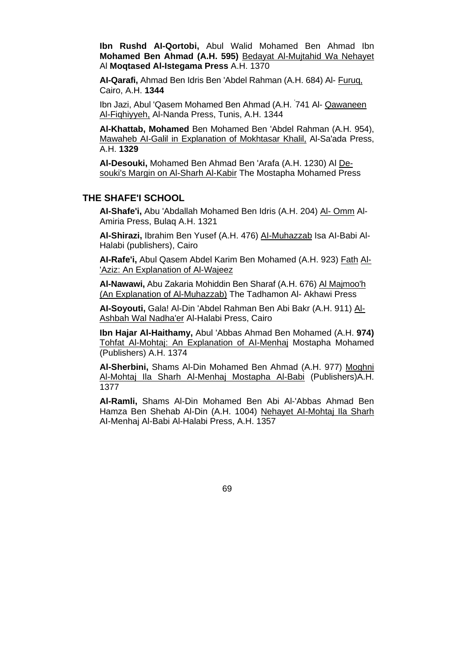**Ibn Rushd AI-Qortobi,** Abul Walid Mohamed Ben Ahmad Ibn **Mohamed Ben Ahmad (A.H. 595)** Bedayat Al-Mujtahid Wa Nehayet Al **Moqtased Al-Istegama Press** A.H. 1370

**AI-Qarafi,** Ahmad Ben Idris Ben 'Abdel Rahman (A.H. 684) Al- Furuq, Cairo, A.H. **1344** 

Ibn Jazi, Abul 'Qasem Mohamed Ben Ahmad (A.H. 741 Al- Qawaneen Al-Fiqhiyyeh, Al-Nanda Press, Tunis, A.H. 1344

**Al-Khattab, Mohamed** Ben Mohamed Ben 'Abdel Rahman (A.H. 954), Mawaheb AI-Galil in Explanation of Mokhtasar Khalil, Al-Sa'ada Press, A.H. **1329** 

**Al-Desouki,** Mohamed Ben Ahmad Ben 'Arafa (A.H. 1230) Al Desouki's Margin on Al-Sharh Al-Kabir The Mostapha Mohamed Press

### **THE SHAFE'I SCHOOL**

**AI-Shafe'i,** Abu 'Abdallah Mohamed Ben Idris (A.H. 204) Al- Omm Al-Amiria Press, Bulaq A.H. 1321

**Al-Shirazi,** Ibrahim Ben Yusef (A.H. 476) AI-Muhazzab Isa AI-Babi Al-Halabi (publishers), Cairo

**AI-Rafe'i,** Abul Qasem Abdel Karim Ben Mohamed (A.H. 923) Fath Al- 'Aziz: An Explanation of Al-Wajeez

**Al-Nawawi,** Abu Zakaria Mohiddin Ben Sharaf (A.H. 676) Al Majmoo'h (An Explanation of Al-Muhazzab) The Tadhamon Al- Akhawi Press

**AI-Soyouti,** Gala! Al-Din 'Abdel Rahman Ben Abi Bakr (A.H. 911) Al-Ashbah Wal Nadha'er Al-Halabi Press, Cairo

**Ibn Hajar Al-Haithamy,** Abul 'Abbas Ahmad Ben Mohamed (A.H. **974)**  Tohfat Al-Mohtaj: An Explanation of AI-Menhaj Mostapha Mohamed (Publishers) A.H. 1374

**Al-Sherbini,** Shams Al-Din Mohamed Ben Ahmad (A.H. 977) Moghni Al-Mohtaj Ila Sharh Al-Menhaj Mostapha Al-Babi (Publishers)A.H. 1377

**Al-Ramli,** Shams Al-Din Mohamed Ben Abi Al-'Abbas Ahmad Ben Hamza Ben Shehab Al-Din (A.H. 1004) Nehayet AI-Mohtaj Ila Sharh AI-Menhaj Al-Babi Al-Halabi Press, A.H. 1357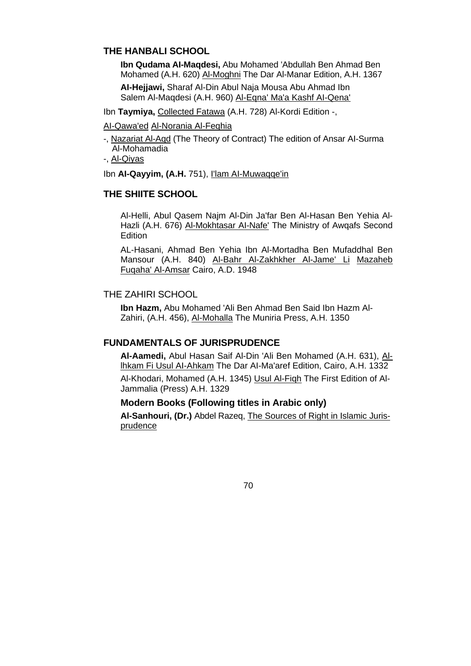# **THE HANBALI SCHOOL**

**Ibn Qudama AI-Maqdesi,** Abu Mohamed 'Abdullah Ben Ahmad Ben Mohamed (A.H. 620) Al-Moghni The Dar Al-Manar Edition, A.H. 1367 **AI-Hejjawi,** Sharaf Al-Din Abul Naja Mousa Abu Ahmad Ibn Salem Al-Maqdesi (A.H. 960) Al-Eqna' Ma'a Kashf AI-Qena'

Ibn **Taymiya,** Collected Fatawa (A.H. 728) Al-Kordi Edition -,

AI-Qawa'ed Al-Norania Al-Feqhia

- -, Nazariat Al-Aqd (The Theory of Contract) The edition of Ansar AI-Surma Al-Mohamadia
- -, Al-Qiyas

Ibn **AI-Qayyim, (A.H.** 751), I'lam AI-Muwaqqe'in

# **THE SHIITE SCHOOL**

Al-Helli, Abul Qasem Najm Al-Din Ja'far Ben Al-Hasan Ben Yehia Al-Hazli (A.H. 676) Al-Mokhtasar AI-Nafe' The Ministry of Awqafs Second **Edition** 

AL-Hasani, Ahmad Ben Yehia Ibn Al-Mortadha Ben Mufaddhal Ben Mansour (A.H. 840) Al-Bahr Al-Zakhkher Al-Jame' Li Mazaheb Fuqaha' Al-Amsar Cairo, A.D. 1948

# THE ZAHIRI SCHOOL

**Ibn Hazm,** Abu Mohamed 'Ali Ben Ahmad Ben Said Ibn Hazm Al-Zahiri, (A.H. 456), Al-Mohalla The Muniria Press, A.H. 1350

# **FUNDAMENTALS OF JURISPRUDENCE**

**Al-Aamedi,** Abul Hasan Saif Al-Din 'Ali Ben Mohamed (A.H. 631), Allhkam Fi Usul AI-Ahkam The Dar AI-Ma'aref Edition, Cairo, A.H. 1332 Al-Khodari, Mohamed (A.H. 1345) Usul Al-Fiqh The First Edition of Al-Jammalia (Press) A.H. 1329

# **Modern Books (Following titles in Arabic only)**

**Al-Sanhouri, (Dr.)** Abdel Razeq, The Sources of Right in Islamic Jurisprudence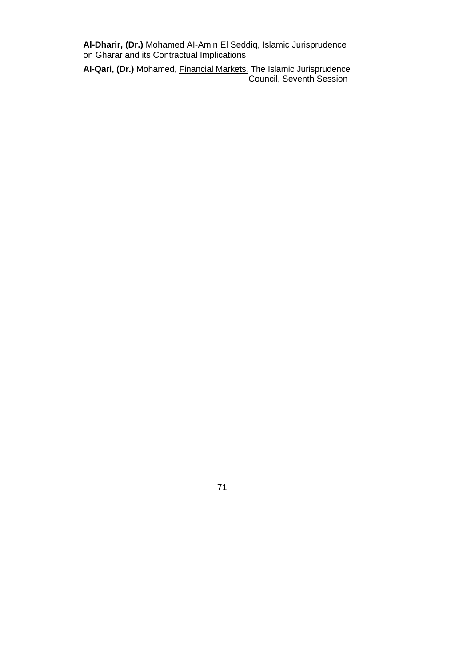**Al-Dharir, (Dr.)** Mohamed AI-Amin El Seddiq, Islamic Jurisprudence on Gharar and its Contractual Implications

**AI-Qari, (Dr.)** Mohamed, Financial Markets, The Islamic Jurisprudence Council, Seventh Session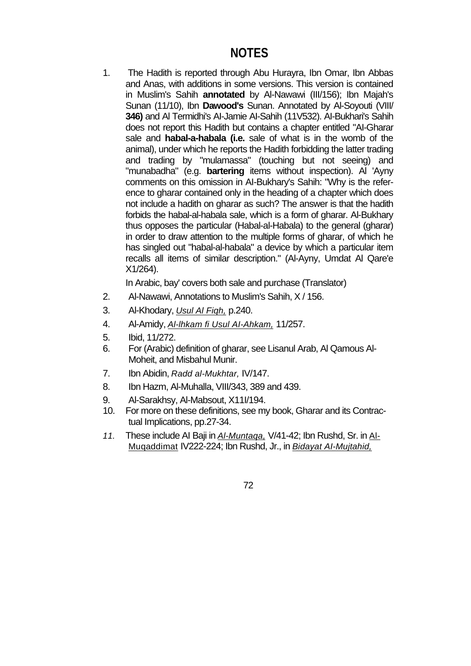1. The Hadith is reported through Abu Hurayra, Ibn Omar, Ibn Abbas and Anas, with additions in some versions. This version is contained in Muslim's Sahih **annotated** by Al-Nawawi (III/156); Ibn Majah's Sunan (11/10), Ibn **Dawood's** Sunan. Annotated by Al-Soyouti (VIII/ **346)** and Al Termidhi's AI-Jamie AI-Sahih (11V532). AI-Bukhari's Sahih does not report this Hadith but contains a chapter entitled "AI-Gharar sale and **habal-a-habala (i.e.** sale of what is in the womb of the animal), under which he reports the Hadith forbidding the latter trading and trading by "mulamassa" (touching but not seeing) and "munabadha" (e.g. **bartering** items without inspection). Al 'Ayny comments on this omission in AI-Bukhary's Sahih: "Why is the reference to gharar contained only in the heading of a chapter which does not include a hadith on gharar as such? The answer is that the hadith forbids the habal-al-habala sale, which is a form of gharar. Al-Bukhary thus opposes the particular (Habal-al-Habala) to the general (gharar) in order to draw attention to the multiple forms of gharar, of which he has singled out "habal-al-habala" a device by which a particular item recalls all items of similar description." (Al-Ayny, Umdat Al Qare'e X1/264).

In Arabic, bay' covers both sale and purchase (Translator)

- 2. Al-Nawawi, Annotations to Muslim's Sahih, X / 156.
- 3. Al-Khodary, *Usul Al Fiqh,* p.240.
- 4. Al-Amidy, *Al-lhkam fi Usul AI-Ahkam,* 11/257.
- 5. Ibid, 11/272.
- 6. For (Arabic) definition of gharar, see Lisanul Arab, Al Qamous Al-Moheit, and Misbahul Munir.
- 7. Ibn Abidin, *Radd al-Mukhtar,* IV/147.
- 8. Ibn Hazm, Al-Muhalla, VIII/343, 389 and 439.
- 9. Al-Sarakhsy, Al-Mabsout, X11I/194.
- 10. For more on these definitions, see my book, Gharar and its Contractual Implications, pp.27-34.
- *11.* These include AI Baji in *Al-Muntaqa,* V/41-42; Ibn Rushd, Sr. in Al-Muqaddimat IV222-224; Ibn Rushd, Jr., in *Bidayat AI-Mujtahid,*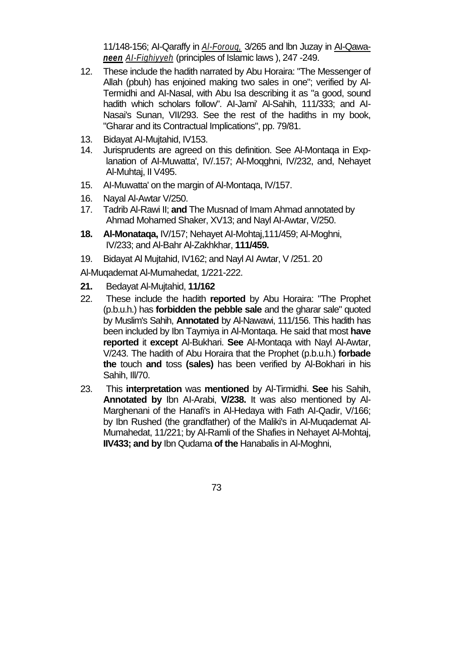11/148-156; AI-Qaraffy in *Al-Forouq,* 3/265 and lbn Juzay in AI-Qawa*neen AI-Fighiyyeh* (principles of Islamic laws ), 247 -249.

- 12. These include the hadith narrated by Abu Horaira: "The Messenger of Allah (pbuh) has enjoined making two sales in one"; verified by Al-Termidhi and AI-Nasal, with Abu Isa describing it as "a good, sound hadith which scholars follow". AI-Jami' Al-Sahih, 111/333; and AI-Nasai's Sunan, VII/293. See the rest of the hadiths in my book, "Gharar and its Contractual Implications", pp. 79/81.
- 13. Bidayat AI-Mujtahid, IV153.
- 14. Jurisprudents are agreed on this definition. See Al-Montaqa in Explanation of AI-Muwatta', IV/.157; Al-Moqghni, IV/232, and, Nehayet Al-Muhtaj, II V495.
- 15. AI-Muwatta' on the margin of Al-Montaqa, IV/157.
- 16. Nayal Al-Awtar V/250.
- 17. Tadrib Al-Rawi II; **and** The Musnad of Imam Ahmad annotated by Ahmad Mohamed Shaker, XV13; and Nayl AI-Awtar, V/250.
- **18. Al-Monataqa,** IV/157; Nehayet AI-Mohtaj,111/459; Al-Moghni, IV/233; and Al-Bahr Al-Zakhkhar, **111/459.**
- 19. Bidayat Al Mujtahid, IV162; and Nayl AI Awtar, V /251. 20

Al-Muqademat Al-Mumahedat, 1/221-222.

- **21.** Bedayat Al-Mujtahid, **11/162**
- 22. These include the hadith **reported** by Abu Horaira: "The Prophet (p.b.u.h.) has **forbidden the pebble sale** and the gharar sale" quoted by Muslim's Sahih, **Annotated** by Al-Nawawi, 111/156. This hadith has been included by Ibn Taymiya in Al-Montaqa. He said that most **have reported** it **except** Al-Bukhari. **See** Al-Montaqa with Nayl Al-Awtar, V/243. The hadith of Abu Horaira that the Prophet (p.b.u.h.) **forbade the** touch **and** toss **(sales)** has been verified by Al-Bokhari in his Sahih, Ill/70.
- 23. This **interpretation** was **mentioned** by Al-Tirmidhi. **See** his Sahih, **Annotated by** Ibn AI-Arabi, **V/238.** It was also mentioned by Al-Marghenani of the Hanafi's in Al-Hedaya with Fath AI-Qadir, V/166; by Ibn Rushed (the grandfather) of the Maliki's in Al-Muqademat Al-Mumahedat, 11/221; by Al-Ramli of the Shafies in Nehayet Al-Mohtaj, **IIV433; and by** Ibn Qudama **of the** Hanabalis in Al-Moghni,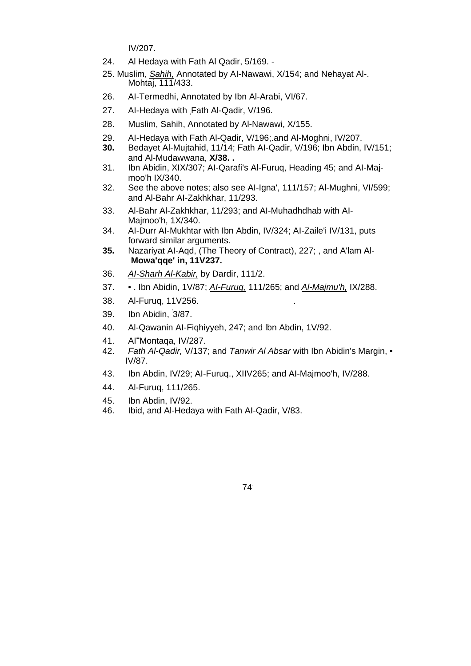IV/207.

- 24. Al Hedaya with Fath Al Qadir, 5/169. -
- 25. Muslim, *Sahih,* Annotated by AI-Nawawi, X/154; and Nehayat Al-. Mohtaj, 111/433.
- 26. AI-Termedhi, Annotated by Ibn Al-Arabi, VI/67.
- 27. Al-Hedaya with Fath Al-Qadir, V/196.
- 28. Muslim, Sahih, Annotated by Al-Nawawi, X/155.
- 29. AI-Hedaya with Fath Al-Qadir, V/196;.and Al-Moghni, IV/207.
- **30.** Bedayet Al-Mujtahid, 11/14; Fath AI-Qadir, V/196; Ibn Abdin, IV/151; and Al-Mudawwana, **X/38. .**
- 31. Ibn Abidin, XIX/307; AI-Qarafi's Al-Furuq, Heading 45; and AI-Majmoo'h IX/340.
- 32. See the above notes; also see AI-Igna', 111/157; Al-Mughni, VI/599; and Al-Bahr AI-Zakhkhar, 11/293.
- 33. Al-Bahr Al-Zakhkhar, 11/293; and AI-Muhadhdhab with AI-Majmoo'h, 1X/340.
- 34. AI-Durr AI-Mukhtar with Ibn Abdin, IV/324; AI-Zaile'i IV/131, puts forward similar arguments.
- **35.** Nazariyat AI-Aqd, (The Theory of Contract), 227; , and A'lam Al-**Mowa'qqe' in, 11V237.**
- 36. *AI-Sharh Al-Kabir,* by Dardir, 111/2.
- 37. . Ibn Abidin, 1V/87; *AI-Furuq,* 111/265; and *Al-Majmu'h,* IX/288.
- 38. Al-Furuq, 11V256. .
- 39. Ibn Abidin, ' 3/87.
- 40. Al-Qawanin AI-Fiqhiyyeh, 247; and lbn Abdin, 1V/92.
- 41. AI<sup>=</sup> Montaqa, IV/287.
- 42. *Fath Al-Qadir,* V/137; and *Tanwir Al Absar* with Ibn Abidin's Margin, IV/87.
- 43. Ibn Abdin, IV/29; AI-Furuq., XIIV265; and AI-Majmoo'h, IV/288.
- 44. Al-Furuq, 111/265.
- 45. Ibn Abdin, IV/92.
- 46. Ibid, and Al-Hedaya with Fath AI-Qadir, V/83.

74.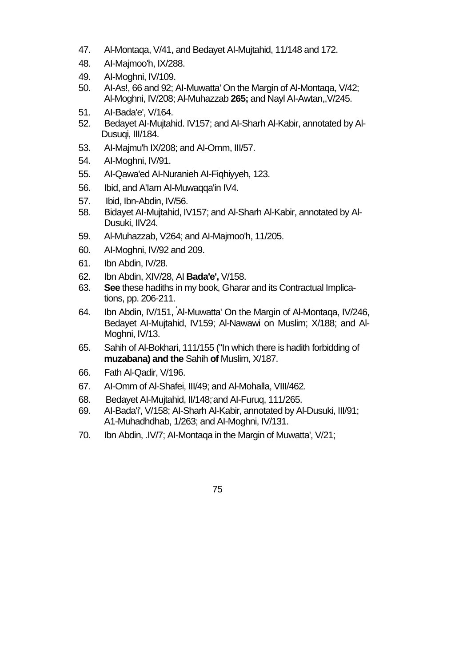- 47. Al-Montaqa, V/41, and Bedayet AI-Mujtahid, 11/148 and 172.
- 48. AI-Majmoo'h, IX/288.
- 49. AI-Moghni, IV/109.
- 50. AI-As!, 66 and 92; AI-Muwatta' On the Margin of Al-Montaqa, V/42; Al-Moghni, IV/208; Al-Muhazzab **265;** and Nayl AI-Awtan,,V/245.
- 51. AI-Bada'e', V/164.
- 52. Bedayet AI-Mujtahid. IV157; and AI-Sharh Al-Kabir, annotated by Al-Dusuqi, III/184.
- 53. AI-Majmu'h IX/208; and AI-Omm, III/57.
- 54. AI-Moghni, IV/91.
- 55. AI-Qawa'ed AI-Nuranieh AI-Fiqhiyyeh, 123.
- 56. Ibid, and A'Iam AI-Muwaqqa'in IV4.
- 57. Ibid, Ibn-Abdin, IV/56.
- 58. Bidayet AI-Mujtahid, IV157; and Al-Sharh Al-Kabir, annotated by Al-Dusuki, IIV24.
- 59. Al-Muhazzab, V264; and AI-Majmoo'h, 11/205.
- 60. AI-Moghni, IV/92 and 209.
- 61. Ibn Abdin, IV/28.
- 62. Ibn Abdin, XIV/28, AI **Bada'e',** V/158.
- 63. **See** these hadiths in my book, Gharar and its Contractual Implications, pp. 206-211.
- 64. Ibn Abdin, IV/151, ' Al-Muwatta' On the Margin of Al-Montaqa, IV/246, Bedayet AI-Mujtahid, IV159; Al-Nawawi on Muslim; X/188; and Al-Moghni, IV/13.
- 65. Sahih of Al-Bokhari, 111/155 ("In which there is hadith forbidding of **muzabana) and the** Sahih **of** Muslim, X/187.
- 66. Fath Al-Qadir, V/196.
- 67. AI-Omm of Al-Shafei, III/49; and Al-Mohalla, VIII/462.
- 68. Bedayet Al-Mujtahid, II/148; and Al-Furuq, 111/265.
- 69. AI-Bada'i', V/158; AI-Sharh Al-Kabir, annotated by Al-Dusuki, III/91; A1-Muhadhdhab, 1/263; and AI-Moghni, IV/131.
- 70. Ibn Abdin, .IV/7; AI-Montaqa in the Margin of Muwatta', V/21;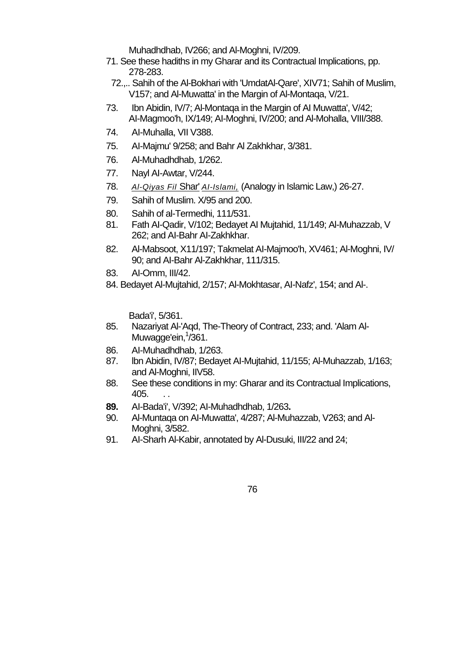Muhadhdhab, IV266; and Al-Moghni, IV/209.

- 71. See these hadiths in my Gharar and its Contractual Implications, pp. 278-283.
- 72.,.. Sahih of the Al-Bokhari with 'UmdatAl-Qare', XIV71; Sahih of Muslim, V157; and Al-Muwatta' in the Margin of Al-Montaqa, V/21.
- 73. Ibn Abidin, IV/7; Al-Montaqa in the Margin of AI Muwatta', V/42; AI-Magmoo'h, IX/149; AI-Moghni, IV/200; and Al-Mohalla, VIII/388.
- 74. AI-Muhalla, VII V388.
- 75. AI-Majmu' 9/258; and Bahr Al Zakhkhar, 3/381.
- 76. Al-Muhadhdhab, 1/262.
- 77. Nayl AI-Awtar, V/244.
- 78. *Al-Qiyas Fil* Shar' *AI-Islami,* (Analogy in Islamic Law,) 26-27.
- 79. Sahih of Muslim. X/95 and 200.
- 80. Sahih of al-Termedhi, 111/531.
- 81. Fath AI-Qadir, V/102; Bedayet AI Mujtahid, 11/149; Al-Muhazzab, V 262; and AI-Bahr AI-Zakhkhar.
- 82. Al-Mabsoot, X11/197; Takmelat AI-Majmoo'h, XV461; Al-Moghni, IV/ 90; and AI-Bahr Al-Zakhkhar, 111/315.
- 83. AI-Omm, III/42.
- 84. Bedayet Al-Mujtahid, 2/157; Al-Mokhtasar, AI-Nafz', 154; and Al-.

Bada'i', 5/361.

- 85. Nazariyat Al-'Aqd, The-Theory of Contract, 233; and. 'Alam Al-Muwagge'ein, <sup>1</sup>/361.
- 86. AI-Muhadhdhab, 1/263.
- 87. lbn Abidin, IV/87; Bedayet AI-Mujtahid, 11/155; Al-Muhazzab, 1/163; and Al-Moghni, IIV58.
- 88. See these conditions in my: Gharar and its Contractual Implications, 405. . .
- **89.** AI-Bada'i', V/392; AI-Muhadhdhab, 1/263**.**
- 90. Al-Muntaqa on AI-Muwatta', 4/287; Al-Muhazzab, V263; and Al-Moghni, 3/582.
- 91. AI-Sharh Al-Kabir, annotated by Al-Dusuki, III/22 and 24;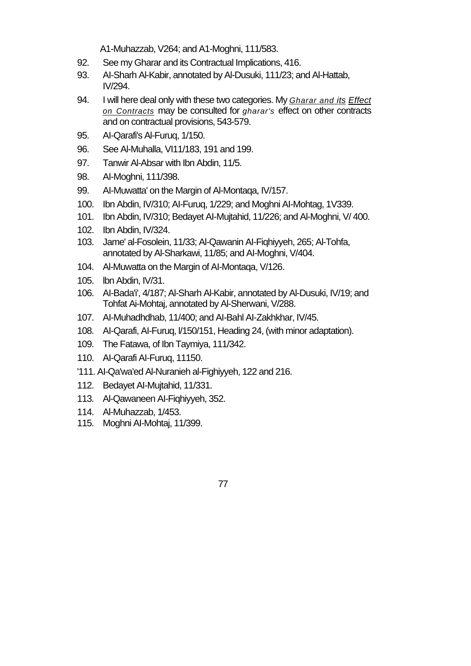A1-Muhazzab, V264; and A1-Moghni, 111/583.

- 92. See my Gharar and its Contractual Implications, 416.
- 93. AI-Sharh Al-Kabir, annotated by Al-Dusuki, 111/23; and Al-Hattab, IV/294.
- 94. I will here deal only with these two categories. My *Gharar and its Effect on Contracts* may be consulted for *gharar's* effect on other contracts and on contractual provisions, 543-579.
- 95. AI-Qarafi's Al-Furuq, 1/150.
- 96. See Al-Muhalla, VI11/183, 191 and 199.
- 97. Tanwir Al-Absar with Ibn Abdin, 11/5.
- 98. AI-Moghni, 111/398.
- 99. AI-Muwatta' on the Margin of Al-Montaqa, IV/157.
- 100. Ibn Abdin, IV/310; AI-Furuq, 1/229; and Moghni AI-Mohtag, 1V339.
- 101. Ibn Abdin, IV/310; Bedayet AI-Mujtahid, 11/226; and Al-Moghni, V/ 400.
- 102. Ibn Abdin, IV/324.
- 103. Jame' al-Fosolein, 11/33; Al-Qawanin AI-Fiqhiyyeh, 265; Al-Tohfa, annotated by Al-Sharkawi, 11/85; and AI-Moghni, V/404.
- 104. Al-Muwatta on the Margin of AI-Montaqa, V/126.
- 105. lbn Abdin, IV/31.
- 106. AI-Bada'i', 4/187; Al-Sharh Al-Kabir, annotated by Al-Dusuki, IV/19; and Tohfat Ai-Mohtaj, annotated by Al-Sherwani, V/288.
- 107. AI-Muhadhdhab, 11/400; and AI-Bahl AI-Zakhkhar, IV/45.
- 108. AI-Qarafi, AI-Furuq, l/150/151, Heading 24, (with minor adaptation).
- 109. The Fatawa, of Ibn Taymiya, 111/342.
- 110. AI-Qarafi AI-Furuq, 11150.
- '111. AI-Qa'wa'ed Al-Nuranieh al-Fighiyyeh, 122 and 216.
- 112. Bedayet AI-Mujtahid, 11/331.
- 113. Al-Qawaneen AI-Fiqhiyyeh, 352.
- 114. Al-Muhazzab, 1/453.
- 115. Moghni AI-Mohtaj, 11/399.
- 77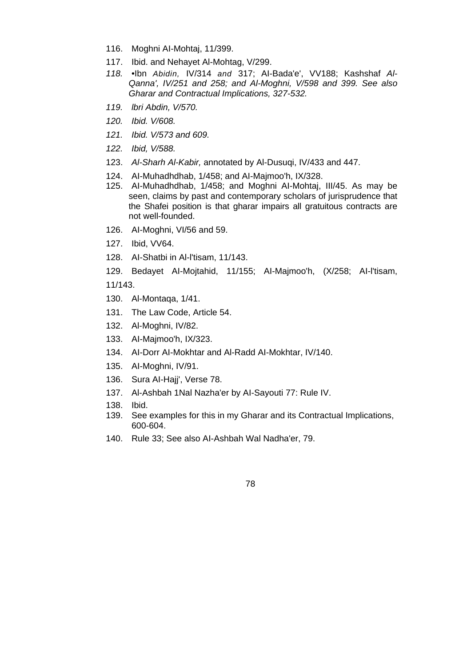- 116. Moghni AI-Mohtaj, 11/399.
- 117. Ibid. and Nehayet Al-Mohtag, V/299.
- *118.* •Ibn *Abidin,* IV/314 *and* 317; AI-Bada'e', VV188; Kashshaf *Al-Qanna', IV/251 and 258; and Al-Moghni, V/598 and 399. See also Gharar and Contractual Implications, 327-532.*
- *119. lbri Abdin, V/570.*
- *120. Ibid. V/608.*
- *121. Ibid. V/573 and 609.*
- *122. Ibid, V/588.*
- 123. *Al-Sharh Al-Kabir,* annotated by Al-Dusuqi, IV/433 and 447.
- 124. AI-Muhadhdhab, 1/458; and AI-Majmoo'h, IX/328.
- 125. AI-Muhadhdhab, 1/458; and Moghni AI-Mohtaj, III/45. As may be seen, claims by past and contemporary scholars of jurisprudence that the Shafei position is that gharar impairs all gratuitous contracts are not well-founded.
- 126. AI-Moghni, VI/56 and 59.
- 127. Ibid, VV64.
- 128. AI-Shatbi in Al-l'tisam, 11/143.
- 129. Bedayet AI-Mojtahid, 11/155; AI-Majmoo'h, (X/258; AI-l'tisam, 11/143.
- 
- 130. Al-Montaqa, 1/41.
- 131. The Law Code, Article 54.
- 132. Al-Moghni, IV/82.
- 133. AI-Majmoo'h, IX/323.
- 134. AI-Dorr AI-Mokhtar and Al-Radd AI-Mokhtar, IV/140.
- 135. AI-Moghni, IV/91.
- 136. Sura AI-Hajj', Verse 78.
- 137. Al-Ashbah 1Nal Nazha'er by AI-Sayouti 77: Rule IV.
- 138. Ibid.
- 139. See examples for this in my Gharar and its Contractual Implications, 600-604.
- 140. Rule 33; See also AI-Ashbah Wal Nadha'er, 79.

78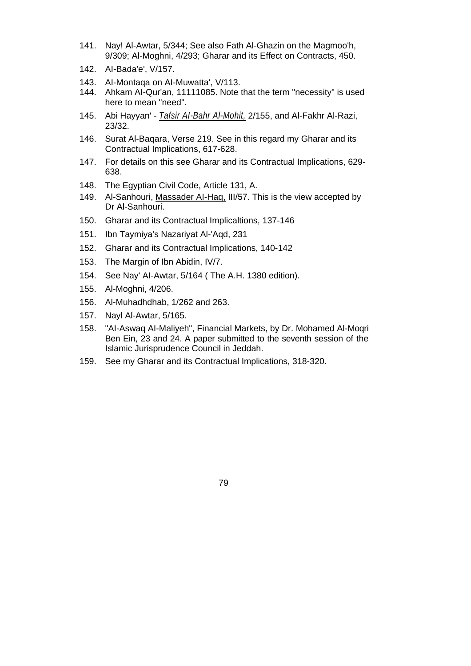- 141. Nay! Al-Awtar, 5/344; See also Fath Al-Ghazin on the Magmoo'h, 9/309; Al-Moghni, 4/293; Gharar and its Effect on Contracts, 450.
- 142. AI-Bada'e', V/157.
- 143. AI-Montaqa on AI-Muwatta', V/113.
- 144. Ahkam AI-Qur'an, 11111085. Note that the term "necessity" is used here to mean "need".
- 145. Abi Hayyan' *Tafsir AI-Bahr Al-Mohit,* 2/155, and Al-Fakhr Al-Razi, 23/32.
- 146. Surat Al-Baqara, Verse 219. See in this regard my Gharar and its Contractual Implications, 617-628.
- 147. For details on this see Gharar and its Contractual Implications, 629- 638.
- 148. The Egyptian Civil Code, Article 131, A.
- 149. Al-Sanhouri, Massader AI-Haq, III/57. This is the view accepted by Dr Al-Sanhouri.
- 150. Gharar and its Contractual Implicaltions, 137-146
- 151. Ibn Taymiya's Nazariyat Al-'Aqd, 231
- 152. Gharar and its Contractual Implications, 140-142
- 153. The Margin of Ibn Abidin, IV/7.
- 154. See Nay' AI-Awtar, 5/164 ( The A.H. 1380 edition).
- 155. Al-Moghni, 4/206.
- 156. Al-Muhadhdhab, 1/262 and 263.
- 157. Nayl Al-Awtar, 5/165.
- 158. "AI-Aswaq AI-Maliyeh", Financial Markets, by Dr. Mohamed Al-Moqri Ben Ein, 23 and 24. A paper submitted to the seventh session of the Islamic Jurisprudence Council in Jeddah.
- 159. See my Gharar and its Contractual Implications, 318-320.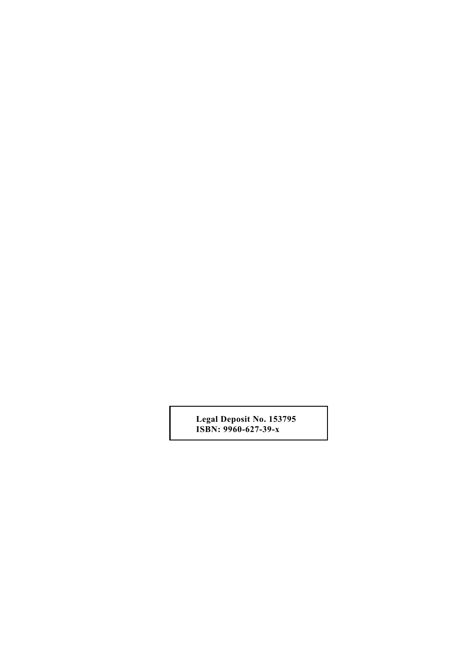**Legal Deposit No. 153795 ISBN: 9960-627-39-x**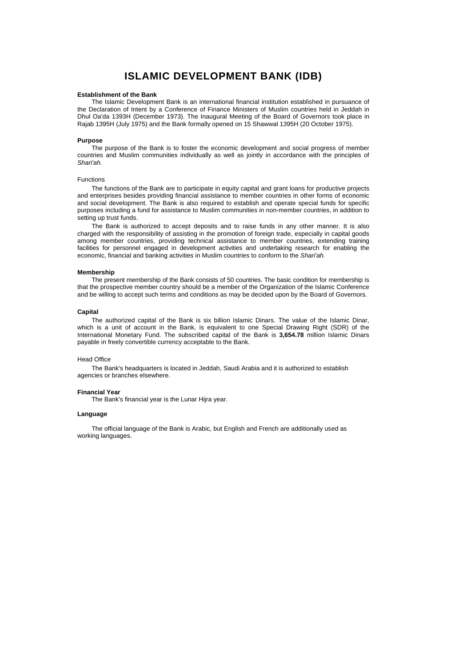# **ISLAMIC DEVELOPMENT BANK (IDB)**

#### **Establishment of the Bank**

The Islamic Development Bank is an international financial institution established in pursuance of the Declaration of Intent by a Conference of Finance Ministers of Muslim countries held in Jeddah in Dhul Oa'da 1393H (December 1973). The Inaugural Meeting of the Board of Governors took place in Rajab 1395H (July 1975) and the Bank formally opened on 15 Shawwal 1395H (20 October 1975).

## **Purpose**

The purpose of the Bank is to foster the economic development and social progress of member countries and Muslim communities individually as well as jointly in accordance with the principles of *Shari'ah.* 

# Functions

The functions of the Bank are to participate in equity capital and grant loans for productive projects and enterprises besides providing financial assistance to member countries in other forms of economic and social development. The Bank is also required to establish and operate special funds for specific purposes including a fund for assistance to Muslim communities in non-member countries, in addition to setting up trust funds.

The Bank is authorized to accept deposits and to raise funds in any other manner. It is also charged with the responsibility of assisting in the promotion of foreign trade, especially in capital goods among member countries, providing technical assistance to member countries, extending training facilities for personnel engaged in development activities and undertaking research for enabling the economic, financial and banking activities in Muslim countries to conform to the *Shari'ah.* 

## **Membership**

The present membership of the Bank consists of 50 countries. The basic condition for membership is that the prospective member country should be a member of the Organization of the Islamic Conference and be willing to accept such terms and conditions as may be decided upon by the Board of Governors.

#### **Capital**

The authorized capital of the Bank is six billion Islamic Dinars. The value of the Islamic Dinar, which is a unit of account in the Bank, is equivalent to one Special Drawing Right (SDR) of the International Monetary Fund. The subscribed capital of the Bank is **3,654.78** million Islamic Dinars payable in freely convertible currency acceptable to the Bank.

## Head Office

The Bank's headquarters is located in Jeddah, Saudi Arabia and it is authorized to establish agencies or branches elsewhere.

#### **Financial Year**

The Bank's financial year is the Lunar Hijra year.

#### **Language**

The official language of the Bank is Arabic, but English and French are additionally used as working languages.